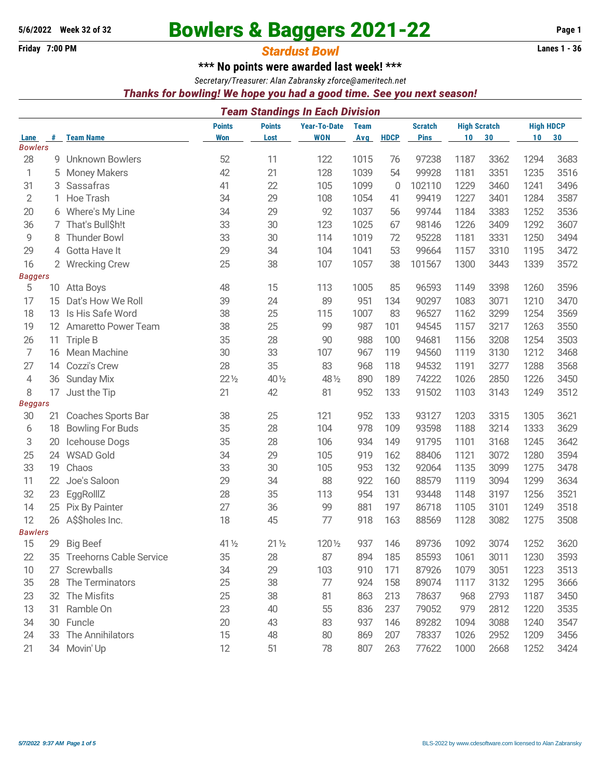# 5/6/2022 Week 32 of 32<br>**Bowlers & Baggers 2021-22** Page 1

# **Friday 7:00 PM** *Stardust Bowl* **Lanes 1 - 36**

**\*\*\* No points were awarded last week! \*\*\***

*Secretary/Treasurer: Alan Zabransky [zforce@ameritech.net](mailto:zforce@ameritech.net)*

### *Thanks for bowling! We hope you had a good time. See you next season!*

|                      |                 |                                |                 |                 | <b>Team Standings In Each Division</b> |              |             |                 |      |                     |                  |      |
|----------------------|-----------------|--------------------------------|-----------------|-----------------|----------------------------------------|--------------|-------------|-----------------|------|---------------------|------------------|------|
|                      |                 |                                | <b>Points</b>   | <b>Points</b>   | <b>Year-To-Date</b>                    | <b>Team</b>  |             | <b>Scratch</b>  |      | <b>High Scratch</b> | <b>High HDCP</b> |      |
| Lane                 | #               | <b>Team Name</b>               | <b>Won</b>      | Lost            | <b>WON</b>                             | Avg          | <b>HDCP</b> | <b>Pins</b>     | 10   | 30                  | 10               | 30   |
| <b>Bowlers</b><br>28 | 9               | <b>Unknown Bowlers</b>         | 52              | 11              | 122                                    | 1015         | 76          | 97238           | 1187 | 3362                | 1294             | 3683 |
|                      |                 |                                | 42              |                 |                                        | 1039         | 54          | 99928           | 1181 | 3351                |                  |      |
| 1                    | 5               | <b>Money Makers</b>            |                 | 21              | 128                                    |              |             |                 |      |                     | 1235             | 3516 |
| 31                   | 3               | Sassafras<br>Hoe Trash         | 41<br>34        | 22<br>29        | 105                                    | 1099<br>1054 | 0           | 102110<br>99419 | 1229 | 3460<br>3401        | 1241             | 3496 |
| 2                    | 1.              |                                |                 |                 | 108                                    |              | 41          |                 | 1227 |                     | 1284             | 3587 |
| 20                   | 6               | Where's My Line                | 34              | 29              | 92                                     | 1037         | 56          | 99744           | 1184 | 3383                | 1252             | 3536 |
| 36                   | 7.              | That's Bull\$h!t               | 33              | 30              | 123                                    | 1025         | 67          | 98146           | 1226 | 3409                | 1292             | 3607 |
| 9                    | 8               | <b>Thunder Bowl</b>            | 33              | 30              | 114                                    | 1019         | 72          | 95228           | 1181 | 3331                | 1250             | 3494 |
| 29                   | 4               | Gotta Have It                  | 29              | 34              | 104                                    | 1041         | 53          | 99664           | 1157 | 3310                | 1195             | 3472 |
| 16                   | $\overline{2}$  | <b>Wrecking Crew</b>           | 25              | 38              | 107                                    | 1057         | 38          | 101567          | 1300 | 3443                | 1339             | 3572 |
| <b>Baggers</b><br>5  | 10              | Atta Boys                      | 48              | 15              | 113                                    | 1005         | 85          | 96593           | 1149 | 3398                | 1260             | 3596 |
| 17                   | 15              | Dat's How We Roll              | 39              | 24              | 89                                     | 951          | 134         | 90297           | 1083 | 3071                | 1210             | 3470 |
| 18                   | 13              | Is His Safe Word               | 38              | 25              | 115                                    | 1007         | 83          | 96527           | 1162 | 3299                | 1254             | 3569 |
| 19                   | 12 <sup>2</sup> | Amaretto Power Team            | 38              | 25              | 99                                     | 987          | 101         | 94545           | 1157 | 3217                | 1263             | 3550 |
| 26                   | 11              | Triple B                       | 35              | 28              | 90                                     | 988          | 100         | 94681           | 1156 | 3208                | 1254             | 3503 |
| $\overline{7}$       |                 | 16 Mean Machine                | 30              | 33              | 107                                    | 967          | 119         | 94560           | 1119 | 3130                | 1212             | 3468 |
| 27                   | 14              | Cozzi's Crew                   | 28              | 35              | 83                                     | 968          | 118         | 94532           | 1191 | 3277                | 1288             | 3568 |
| 4                    |                 | Sunday Mix                     | $22\frac{1}{2}$ | 40 1/2          | 48 1/2                                 | 890          | 189         | 74222           | 1026 | 2850                | 1226             | 3450 |
|                      | 36              |                                | 21              |                 |                                        |              |             |                 |      |                     |                  |      |
| 8<br><b>Beggars</b>  | 17              | Just the Tip                   |                 | 42              | 81                                     | 952          | 133         | 91502           | 1103 | 3143                | 1249             | 3512 |
| 30                   | 21              | Coaches Sports Bar             | 38              | 25              | 121                                    | 952          | 133         | 93127           | 1203 | 3315                | 1305             | 3621 |
| 6                    | 18              | <b>Bowling For Buds</b>        | 35              | 28              | 104                                    | 978          | 109         | 93598           | 1188 | 3214                | 1333             | 3629 |
| 3                    | 20              | Icehouse Dogs                  | 35              | 28              | 106                                    | 934          | 149         | 91795           | 1101 | 3168                | 1245             | 3642 |
| 25                   | 24              | <b>WSAD Gold</b>               | 34              | 29              | 105                                    | 919          | 162         | 88406           | 1121 | 3072                | 1280             | 3594 |
| 33                   | 19              | Chaos                          | 33              | 30              | 105                                    | 953          | 132         | 92064           | 1135 | 3099                | 1275             | 3478 |
| 11                   | 22              | Joe's Saloon                   | 29              | 34              | 88                                     | 922          | 160         | 88579           | 1119 | 3094                | 1299             | 3634 |
| 32                   | 23              | EggRollIZ                      | 28              | 35              | 113                                    | 954          | 131         | 93448           | 1148 | 3197                | 1256             | 3521 |
| 14                   |                 | 25 Pix By Painter              | 27              | 36              | 99                                     | 881          | 197         | 86718           | 1105 | 3101                | 1249             | 3518 |
| 12                   | 26              | A\$\$holes Inc.                | 18              | 45              | 77                                     | 918          | 163         | 88569           | 1128 | 3082                | 1275             | 3508 |
| <b>Bawlers</b>       |                 |                                |                 |                 |                                        |              |             |                 |      |                     |                  |      |
| 15                   | 29              | <b>Big Beef</b>                | 41 1/2          | $21\frac{1}{2}$ | 120 1/2                                | 937          | 146         | 89736           | 1092 | 3074                | 1252             | 3620 |
| 22                   | 35              | <b>Treehorns Cable Service</b> | 35              | 28              | 87                                     | 894          | 185         | 85593           | 1061 | 3011                | 1230             | 3593 |
| 10                   | 27              | Screwballs                     | 34              | 29              | 103                                    | 910          | 171         | 87926           | 1079 | 3051                | 1223             | 3513 |
| 35                   | 28              | The Terminators                | 25              | 38              | 77                                     | 924          | 158         | 89074           | 1117 | 3132                | 1295             | 3666 |
| 23                   |                 | 32 The Misfits                 | 25              | 38              | 81                                     | 863          | 213         | 78637           | 968  | 2793                | 1187             | 3450 |
| 13                   | 31              | Ramble On                      | 23              | 40              | 55                                     | 836          | 237         | 79052           | 979  | 2812                | 1220             | 3535 |
| 34                   |                 | 30 Funcle                      | 20              | 43              | 83                                     | 937          | 146         | 89282           | 1094 | 3088                | 1240             | 3547 |
| 24                   | 33              | The Annihilators               | 15              | 48              | 80                                     | 869          | 207         | 78337           | 1026 | 2952                | 1209             | 3456 |
| 21                   |                 | 34 Movin' Up                   | 12              | 51              | 78                                     | 807          | 263         | 77622           | 1000 | 2668                | 1252             | 3424 |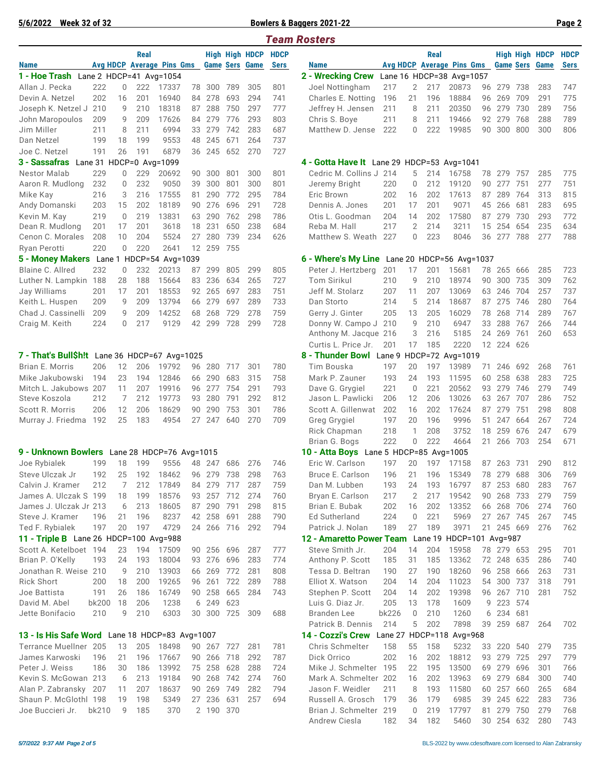#### **5/6/2022 Week 32 of 32 Bowlers & Baggers 2021-22 Page 2**

|                                               |            |             |   |            |                                  |          |                          |            |                       |             | <b>Team Rosters</b>                               |              |                     |            |                                  |          |                          |            |                       |             |
|-----------------------------------------------|------------|-------------|---|------------|----------------------------------|----------|--------------------------|------------|-----------------------|-------------|---------------------------------------------------|--------------|---------------------|------------|----------------------------------|----------|--------------------------|------------|-----------------------|-------------|
|                                               |            |             |   | Real       |                                  |          |                          |            | High High HDCP        | <b>HDCP</b> |                                                   |              |                     | Real       |                                  |          |                          |            | <b>High High HDCP</b> | <b>HDCI</b> |
| <b>Name</b>                                   |            |             |   |            | <b>Avg HDCP Average Pins Gms</b> |          |                          |            | <b>Game Sers Game</b> | Sers        | <b>Name</b>                                       |              |                     |            | <b>Avg HDCP Average Pins Gms</b> |          |                          |            | <b>Game Sers Game</b> | <b>Sers</b> |
| 1 - Hoe Trash Lane 2 HDCP=41 Avg=1054         |            |             |   |            |                                  |          |                          |            |                       |             | 2 - Wrecking Crew                                 |              |                     |            | Lane 16 HDCP=38 Avg=1057         |          |                          |            |                       |             |
| Allan J. Pecka                                | 222        |             | 0 | 222        | 17337                            | 78       | 300                      | 789        | 305                   | 801         | Joel Nottingham                                   | 217          | 2                   | 217        | 20873                            | 96       | 279                      | 738        | 283                   | 747         |
| Devin A. Netzel                               | 202        | 16          |   | 201        | 16940                            | 84       | 278                      | 693        | 294                   | 741         | Charles E. Notting                                | 196          | 21                  | 196        | 18884                            | 96       | 269                      | 709        | 291                   | 775         |
| Joseph K. Netzel J                            | 210        |             | 9 | 210        | 18318                            | 87       | 288                      | 750        | 297                   | 777         | Jeffrey H. Jensen                                 | 211          | 8                   | 211        | 20350                            |          | 96 279                   | 730        | 289                   | 756         |
| John Maropoulos                               | 209        |             | 9 | 209        | 17626                            | 84       | 279                      | 776        | 293                   | 803         | Chris S. Boye                                     | 211          | 8                   | 211        | 19466                            |          | 92 279                   | 768        | 288                   | 789         |
| Jim Miller                                    | 211<br>199 | 8           |   | 211        | 6994                             |          | 33 279                   | 742        | 283                   | 687<br>737  | Matthew D. Jense                                  | 222          | 0                   | 222        | 19985                            |          | 90 300 800               |            | 300                   | 806         |
| Dan Netzel                                    |            | 18          |   | 199        | 9553                             | 48       | 245                      | 671        | 264                   |             |                                                   |              |                     |            |                                  |          |                          |            |                       |             |
| Joe C. Netzel                                 | 191        | 26          |   | 191        | 6879                             |          | 36 245                   | 652        | 270                   | 727         |                                                   |              |                     |            |                                  |          |                          |            |                       |             |
| 3 - Sassafras                                 |            |             |   |            | Lane 31 HDCP=0 Avg=1099          |          |                          |            |                       |             | 4 - Gotta Have It Lane 29 HDCP=53 Avg=1041        |              |                     |            |                                  |          |                          |            |                       |             |
| Nestor Malab                                  | 229<br>232 |             | 0 | 229<br>232 | 20692                            | 90       | 300                      | 801        | 300<br>300            | 801         | Cedric M. Collins J 214                           |              | 5                   | 214<br>212 | 16758                            |          | 78 279                   | 757<br>751 | 285<br>277            | 775<br>751  |
| Aaron R. Mudlong                              |            |             | 0 |            | 9050                             | 39       | 300                      | 801        |                       | 801         | Jeremy Bright                                     | 220          | 0                   |            | 19120                            |          | 90 277                   |            |                       |             |
| Mike Kay                                      | 216        |             | 3 | 216        | 17555                            | 81       | 290                      | 772        | 295<br>291            | 784         | Eric Brown                                        | 202          | 16                  | 202<br>201 | 17613<br>9071                    | 87       | 289                      | 764        | 313<br>283            | 815<br>695  |
| Andy Domanski                                 | 203        | 15          |   | 202        | 18189                            | 90       | 276                      | 696        |                       | 728         | Dennis A. Jones                                   | 201          | 17                  |            |                                  | 45       | 266                      | 681        |                       |             |
| Kevin M. Kay                                  | 219        | $\mathbf 0$ |   | 219        | 13831                            | 63       | 290                      | 762        | 298                   | 786         | Otis L. Goodman                                   | 204          | 14                  | 202<br>214 | 17580                            | 87       | 279                      | 730        | 293<br>235            | 772         |
| Dean R. Mudlong                               | 201<br>208 | 17<br>10    |   | 201<br>204 | 3618<br>5524                     | 18<br>27 | 231<br>280               | 650<br>739 | 238<br>234            | 684<br>626  | Reba M. Hall<br>Matthew S. Weath                  | 217<br>227   | $\overline{2}$<br>0 | 223        | 3211<br>8046                     | 15       | 254<br>36 277            | 654<br>788 | 277                   | 634<br>788  |
| Cenon C. Morales                              | 220        |             |   | 220        |                                  |          | 12 259                   | 755        |                       |             |                                                   |              |                     |            |                                  |          |                          |            |                       |             |
| Ryan Perotti                                  |            |             | 0 |            | 2641                             |          |                          |            |                       |             |                                                   |              |                     |            |                                  |          |                          |            |                       |             |
| 5 - Money Makers                              |            |             |   |            | Lane 1 HDCP=54 Avg=1039          |          |                          |            |                       |             | 6 - Where's My Line Lane 20 HDCP=56 Avg=1037      |              |                     |            |                                  |          |                          |            |                       |             |
| Blaine C. Allred                              | 232        | 28          | 0 | 232<br>188 | 20213                            | 87       | 299                      | 805        | 299                   | 805         | Peter J. Hertzberg<br>Tom Sirikul                 | 201<br>210   | 17<br>9             | 201<br>210 | 15681<br>18974                   | 78<br>90 | 265                      | 666        | 285<br>309            | 723<br>762  |
| Luther N. Lampkin                             | 188        |             |   |            | 15664                            | 83       | 236                      | 634        | 265                   | 727         |                                                   |              |                     |            |                                  |          | 300                      | 735        |                       |             |
| Jay Williams                                  | 201        | 17          |   | 201        | 18553                            |          | 92 265                   | 697        | 283                   | 751         | Jeff M. Stolarz                                   | 207          | 11                  | 207        | 13069                            |          | 63 246                   | 704        | 257                   | 737         |
| Keith L. Huspen                               | 209        | 9           |   | 209        | 13794                            |          | 66 279                   | 697        | 289                   | 733         | Dan Storto                                        | 214          | 5                   | 214        | 18687                            | 87       | 275                      | 746        | 280                   | 764         |
| Chad J. Cassinelli                            | 209        |             | 9 | 209        | 14252                            | 68       | 268                      | 729        | 278                   | 759         | Gerry J. Ginter                                   | 205          | 13                  | 205        | 16029                            | 78       | 268                      | 714        | 289                   | 767         |
| Craig M. Keith                                | 224        |             | 0 | 217        | 9129                             | 42       | 299                      | 728        | 299                   | 728         | Donny W. Campo J                                  | 210          | 9                   | 210        | 6947<br>5185                     | 33       | 288                      | 767        | 266                   | 744<br>653  |
|                                               |            |             |   |            |                                  |          |                          |            |                       |             | Anthony M. Jacque 216                             |              | 3<br>17             | 216<br>185 | 2220                             | 24       | 269                      | 761<br>626 | 260                   |             |
| 7 - That's Bull\$h!t Lane 36 HDCP=67 Avg=1025 |            |             |   |            |                                  |          |                          |            |                       |             | Curtis L. Price Jr.<br>8 - Thunder Bowl           | 201          |                     |            | Lane 9 HDCP=72 Avg=1019          |          | 12 224                   |            |                       |             |
| Brian E. Morris                               | 206        | 12          |   | 206        | 19792                            | 96       |                          | 280 717    | 301                   | 780         | Tim Bouska                                        | 197          | 20                  | 197        | 13989                            |          | 71 246                   | 692        | 268                   | 761         |
|                                               |            | 23          |   |            | 12846                            |          |                          | 683        |                       | 758         |                                                   |              |                     | 193        | 11595                            |          |                          |            | 283                   |             |
| Mike Jakubowski<br>Mitch L. Jakubows          | 194<br>207 | 11          |   | 194<br>207 | 19916                            | 66<br>96 | 290<br>277               | 754        | 315<br>291            | 793         | Mark P. Zauner                                    | 193<br>221   | 24<br>$\mathbf{0}$  | 221        | 20562                            | 60<br>93 | 258<br>279               | 638<br>746 | 279                   | 725<br>749  |
| Steve Koszola                                 | 212        | 7           |   | 212        | 19773                            | 93       | 280                      | 791        | 292                   | 812         | Dave G. Grygiel<br>Jason L. Pawlicki              | 206          | 12                  | 206        | 13026                            | 63       | 267                      | 707        | 286                   | 752         |
| Scott R. Morris                               | 206        | 12          |   | 206        | 18629                            | 90       | 290                      | 753        | 301                   | 786         | Scott A. Gillenwat                                | 202          | 16                  | 202        | 17624                            | 87       | 279                      | 751        | 298                   | 808         |
|                                               | 192        | 25          |   | 183        | 4954                             | 27       | 247                      | 640        | 270                   | 709         | Greg Grygiel                                      | 197          | 20                  | 196        | 9996                             | 51       | 247                      | 664        | 267                   | 724         |
| Murray J. Friedma                             |            |             |   |            |                                  |          |                          |            |                       |             |                                                   | 218          | 1                   | 208        | 3752                             | 18       | 259                      | 676        | 247                   | 679         |
|                                               |            |             |   |            |                                  |          |                          |            |                       |             | Rick Chapman<br>Brian G. Bogs                     | 222          | 0                   | 222        | 4664                             | 21       | 266                      | 703        | 254                   | 671         |
| 9 - Unknown Bowlers Lane 28 HDCP=76 Avg=1015  |            |             |   |            |                                  |          |                          |            |                       |             | 10 - Atta Boys Lane 5 HDCP=85 Avg=1005            |              |                     |            |                                  |          |                          |            |                       |             |
| Joe Rybialek                                  | 199        | 18          |   | 199        | 9556                             |          | 48 247 686               |            | 276                   | 746         | Eric W. Carlson                                   | 197          | 20                  | 197        | 17158                            | 87       | 263                      | 731        | 290                   | 812         |
| Steve Ulczak Jr                               | 192        | 25          |   | 192        | 18462                            |          | 96 279                   | 738        | 298                   | 763         | Bruce E. Carlson                                  | 196          | 21                  | 196        | 15349                            |          | 78 279 688               |            | 306                   | 769         |
| Calvin J. Kramer                              | 212        |             | 7 | 212        | 17849                            |          | 84 279 717               |            | 287                   | 759         | Dan M. Lubben                                     | 193          | 24                  | 193        | 16797                            |          | 87 253 680               |            | 283                   | 767         |
| James A. Ulczak S 199                         |            | 18          |   | 199        | 18576                            |          | 93 257 712               |            | 274                   | 760         | Bryan E. Carlson                                  | 217          | 2                   | 217        | 19542                            |          | 90 268 733               |            | 279                   | 759         |
| James J. Ulczak Jr 213                        |            | 6           |   | 213        | 18605                            |          | 87 290                   | 791        | 298                   | 815         | Brian E. Bubak                                    | 202          | 16                  | 202        | 13352                            |          | 66 268 706               |            | 274                   | 760         |
| Steve J. Kramer                               | 196        | 21          |   | 196        | 8237                             |          | 42 258                   | 691        | 288                   | 790         | Ed Sutherland                                     | 224          | $\mathbf 0$         | 221        | 5969                             |          | 27 267 745               |            | 267                   | 745         |
| Ted F. Rybialek                               | 197        | 20          |   | 197        | 4729                             |          | 24 266 716               |            | 292                   | 794         | Patrick J. Nolan                                  | 189          | 27                  | 189        | 3971                             |          | 21 245 669               |            | 276                   | 762         |
| 11 - Triple B Lane 26 HDCP=100 Avg=988        |            |             |   |            |                                  |          |                          |            |                       |             | 12 - Amaretto Power Team Lane 19 HDCP=101 Avg=987 |              |                     |            |                                  |          |                          |            |                       |             |
| Scott A. Ketelboet 194                        |            | 23          |   | 194        | 17509                            |          |                          |            | 287                   | 777         | Steve Smith Jr.                                   | 204          | 14                  | 204        | 15958                            |          | 78 279 653               |            | 295                   |             |
|                                               | 193        | 24          |   | 193        | 18004                            |          | 90 256 696               |            | 283                   | 774         |                                                   |              |                     | 185        | 13362                            |          |                          |            | 286                   | 701<br>740  |
| Brian P. O'Kelly<br>Jonathan R. Weise 210     |            |             |   |            |                                  |          | 93 276 696               |            | 281                   |             | Anthony P. Scott                                  | 185          | 31                  | 190        |                                  |          | 72 248 635               |            |                       |             |
| <b>Rick Short</b>                             | 200        | 9<br>18     |   | 210<br>200 | 13903<br>19265                   |          | 66 269 772<br>96 261 722 |            | 289                   | 808<br>788  | Tessa D. Beltran<br>Elliot X. Watson              | 190<br>204   | 27<br>14            | 204        | 18260<br>11023                   |          | 96 258 666<br>54 300 737 |            | 263<br>318            | 731<br>791  |
|                                               |            |             |   |            |                                  |          |                          |            |                       |             |                                                   |              |                     |            |                                  |          |                          |            |                       |             |
| Joe Battista                                  | 191        | 26          |   | 186        | 16749                            |          | 90 258                   | 665        | 284                   | 743         | Stephen P. Scott                                  | 204          | 14                  | 202        | 19398                            |          | 96 267 710               |            | 281                   | 752         |
| David M. Abel                                 | bk200      | 18          |   | 206        | 1238                             |          | 6 249                    | 623        |                       |             | Luis G. Diaz Jr.                                  | 205          | 13                  | 178        | 1609                             |          | 9 223 574                |            |                       |             |
| Jette Bonifacio                               | 210        |             | 9 | 210        | 6303                             |          |                          | 30 300 725 | 309                   | 688         | Branden Lee                                       | <b>bk226</b> | 0                   | 210        | 1260                             |          | 6 234 681                |            |                       |             |

**13 - Is His Safe Word** Lane 18 HDCP=83 Avg=1007

| Terrance Muellner 205 13 205 18498 90 267 727 281 781 |  |  |  |  |  |
|-------------------------------------------------------|--|--|--|--|--|
| James Karwoski 196 21 196 17667 90 266 718 292 787    |  |  |  |  |  |
| Peter J. Weiss 186 30 186 13992 75 258 628 288 724    |  |  |  |  |  |
| Kevin S. McGowan 213 6 213 19184 90 268 742 274 760   |  |  |  |  |  |
| Alan P. Zabransky 207 11 207 18637 90 269 749 282 794 |  |  |  |  |  |
| Shaun P. McGlothl 198 19 198 5349 27 236 631 257 694  |  |  |  |  |  |
| Joe Buccieri Jr. bk210 9 185 370 2 190 370            |  |  |  |  |  |

| rerage Pins Gms<br><b>Game Sers Game</b><br><b>Avg HDCP Average Pins Gms</b><br><b>Game Sers</b><br><b>Sers</b><br>Name<br>2 - Wrecking Crew<br>Lane 16 HDCP=38 Avg=1057<br>1 Avg=1054<br>222<br>17337<br>217<br>2<br>217<br>78 300<br>789<br>305<br>801<br>Joel Nottingham<br>20873<br>279<br>738<br>96<br>18884<br>269<br>709<br>201<br>16940<br>84<br>278<br>693<br>294<br>741<br>Charles E. Notting<br>196<br>21<br>196<br>96<br>288<br>730<br>210<br>18318<br>87<br>750<br>297<br>777<br>Jeffrey H. Jensen<br>211<br>8<br>211<br>20350<br>279<br>96<br>209<br>17626<br>279<br>776<br>293<br>803<br>211<br>19466<br>279<br>768<br>84<br>Chris S. Boye<br>211<br>8<br>92<br>211<br>6994<br>33<br>279<br>742<br>283<br>687<br>Matthew D. Jense<br>222<br>300<br>800<br>222<br>0<br>19985<br>90<br>199<br>9553<br>48<br>245<br>671<br>737<br>264<br>191<br>245<br>652<br>270<br>727<br>6879<br>36<br>Avg=1099<br>4 - Gotta Have It Lane 29 HDCP=53 Avg=1041<br>229<br>20692<br>90<br>300<br>801<br>300<br>801<br>Cedric M. Collins J 214<br>5<br>214<br>16758<br>279<br>757<br>78<br>232<br>9050<br>39<br>300<br>801<br>300<br>801<br>220<br>0<br>212<br>19120<br>277<br>751<br>Jeremy Bright<br>90<br>289<br>216<br>17555<br>290<br>772<br>295<br>784<br>202<br>202<br>17613<br>764<br>81<br>Eric Brown<br>16<br>87<br>202<br>18189<br>90<br>276<br>696<br>291<br>728<br>Dennis A. Jones<br>201<br>201<br>9071<br>45<br>266<br>681<br>17<br>219<br>762<br>279<br>730<br>13831<br>63<br>290<br>298<br>786<br>204<br>14<br>202<br>17580<br>87<br>Otis L. Goodman<br>231<br>650<br>238<br>$\overline{2}$<br>214<br>254<br>654<br>201<br>3618<br>18<br>684<br>217<br>3211<br>15<br>Reba M. Hall<br>223<br>204<br>5524<br>27<br>280<br>739<br>234<br>626<br>Matthew S. Weath<br>227<br>0<br>8046<br>277<br>788<br>36<br>259<br>220<br>2641<br>12<br>755<br>CP=54 Avg=1039<br>6 - Where's My Line Lane 20 HDCP=56 Avg=1037<br>232<br>20213<br>299<br>805<br>299<br>805<br>Peter J. Hertzberg<br>201<br>17<br>15681<br>265<br>666<br>87<br>201<br>78<br>Tom Sirikul<br>9<br>188<br>15664<br>83<br>236<br>634<br>265<br>727<br>210<br>210<br>18974<br>300<br>90<br>18553<br>697<br>704<br>201<br>92<br>265<br>283<br>751<br>Jeff M. Stolarz<br>207<br>11<br>207<br>13069<br>63<br>246<br>733<br>209<br>13794<br>279<br>697<br>289<br>Dan Storto<br>214<br>5<br>214<br>18687<br>275<br>746<br>66<br>87<br>14252<br>209<br>68<br>268<br>729<br>278<br>759<br>205<br>13<br>205<br>16029<br>268<br>714<br>Gerry J. Ginter<br>78<br>217<br>9129<br>42<br>299<br>728<br>299<br>728<br>9<br>210<br>6947<br>33<br>288<br>767<br>Donny W. Campo J<br>210<br>3<br>216<br>5185<br>269<br>761<br>Anthony M. Jacque 216<br>24<br>224<br>Curtis L. Price Jr.<br>201<br>17<br>185<br>2220<br>12<br>626<br>8 - Thunder Bowl Lane 9<br>HDCP=72 Avg=1019<br>CP=67 Avg=1025<br>197<br>206<br>19792<br>96<br>280<br>717<br>301<br>780<br>Tim Bouska<br>197<br>20<br>13989<br>246 692<br>71<br>683<br>194<br>12846<br>66<br>290<br>315<br>758<br>Mark P. Zauner<br>193<br>24<br>193<br>11595<br>258<br>638<br>60<br>207<br>96<br>277<br>754<br>291<br>793<br>221<br>0<br>221<br>20562<br>93<br>279<br>746<br>19916<br>Dave G. Grygiel<br>212<br>19773<br>93<br>280<br>791<br>292<br>12<br>206<br>13026<br>267<br>707<br>812<br>Jason L. Pawlicki<br>206<br>63<br>290<br>753<br>301<br>786<br>279<br>751<br>206<br>18629<br>90<br>Scott A. Gillenwat<br>202<br>16<br>202<br>17624<br>87<br>183<br>4954<br>27<br>247<br>640<br>270<br>709<br>197<br>20<br>196<br>9996<br>247<br>664<br>51<br>Greg Grygiel<br>218<br>1<br>208<br>3752<br>18<br>259<br>676<br>Rick Chapman<br>222<br>222<br>$\mathbf{0}$<br>4664<br>266<br>703<br>Brian G. Bogs<br>21<br>10 - Atta Boys Lane 5 HDCP=85 Avg=1005<br>HDCP=76 Avg=1015 ا<br>9556<br>Eric W. Carlson<br>197<br>20<br>197<br>199<br>48<br>247<br>686<br>276<br>746<br>17158<br>87<br>263<br>731<br>298<br>688<br>192<br>18462<br>96<br>279<br>738<br>763<br>Bruce E. Carlson<br>196<br>21<br>196<br>15349<br>78<br>279<br>717<br>253<br>212<br>17849<br>84<br>279<br>287<br>759<br>193<br>24<br>193<br>16797<br>87<br>680<br>Dan M. Lubben<br>199<br>18576<br>93<br>257<br>712<br>274<br>760<br>Bryan E. Carlson<br>217<br>2<br>217<br>19542<br>90<br>268<br>733<br>213<br>18605<br>87<br>290<br>791<br>298<br>815<br>Brian E. Bubak<br>202<br>202<br>13352<br>268 706<br>16<br>66<br>691<br>224<br>221<br>196<br>8237<br>258<br>288<br>790<br>Ed Sutherland<br>0<br>5969<br>267 745<br>42<br>27<br>266<br>189<br>3971<br>197<br>4729<br>716<br>292<br>794<br>Patrick J. Nolan<br>189<br>27<br>245 669<br>24<br>21<br>00 Avg=988<br>12 - Amaretto Power Team Lane 19 HDCP=101 Avg=987<br>17509<br>90 256<br>Steve Smith Jr.<br>204<br>14<br>204<br>15958<br>78 279 653<br>194<br>696<br>287<br>777<br>276<br>696<br>193<br>18004<br>93<br>283<br>774<br>185<br>31<br>185<br>13362<br>72 248 635<br>Anthony P. Scott<br>281<br>190<br>18260<br>96 258 666<br>210<br>13903<br>66 269<br>772<br>808<br>Tessa D. Beltran<br>27<br>190<br>722<br>204<br>200<br>19265<br>261<br>289<br>788<br>Elliot X. Watson<br>14<br>204<br>11023<br>54 300 737<br>96<br>186<br>16749<br>258<br>665<br>19398<br>267<br>710<br>90<br>284<br>743<br>Stephen P. Scott<br>204<br>14<br>202<br>96<br>1238<br>623<br>205<br>223 574<br>206<br>6<br>249<br>Luis G. Diaz Jr.<br>13<br>178<br>1609<br>9<br><b>bk226</b><br>234 681<br>6303<br>30<br>300<br>725<br>688<br>Branden Lee<br>210<br>1260<br>210<br>309<br>0<br>6<br>39 259 687<br>Patrick B. Dennis<br>214<br>5<br>202<br>7898<br>HDCP=83 Avg=1007<br>14 - Cozzi's Crew Lane 27 HDCP=118 Avg=968<br>18498<br>158<br>158<br>90 267<br>Chris Schmelter<br>55<br>5232<br>33 220 540<br>205<br>727<br>281<br>781<br>17667<br>266<br>202<br>16<br>202<br>18812<br>279<br>196<br>90<br>718<br>292<br>787<br>Dick Orrico<br>93<br>725<br>Mike J. Schmelter 195<br>69 279 696<br>186<br>13992<br>75 258<br>628<br>288<br>724<br>22<br>195<br>13500<br>90<br>268<br>742<br>274<br>760<br>Mark A. Schmelter 202<br>202<br>13963<br>69 279 684<br>19184<br>16 | <b>High High HDCP</b><br><b>HDCP</b> |  | Real |  | <b>HDCP</b> | <b>High High HDCP</b> |  |  | Real |
|-----------------------------------------------------------------------------------------------------------------------------------------------------------------------------------------------------------------------------------------------------------------------------------------------------------------------------------------------------------------------------------------------------------------------------------------------------------------------------------------------------------------------------------------------------------------------------------------------------------------------------------------------------------------------------------------------------------------------------------------------------------------------------------------------------------------------------------------------------------------------------------------------------------------------------------------------------------------------------------------------------------------------------------------------------------------------------------------------------------------------------------------------------------------------------------------------------------------------------------------------------------------------------------------------------------------------------------------------------------------------------------------------------------------------------------------------------------------------------------------------------------------------------------------------------------------------------------------------------------------------------------------------------------------------------------------------------------------------------------------------------------------------------------------------------------------------------------------------------------------------------------------------------------------------------------------------------------------------------------------------------------------------------------------------------------------------------------------------------------------------------------------------------------------------------------------------------------------------------------------------------------------------------------------------------------------------------------------------------------------------------------------------------------------------------------------------------------------------------------------------------------------------------------------------------------------------------------------------------------------------------------------------------------------------------------------------------------------------------------------------------------------------------------------------------------------------------------------------------------------------------------------------------------------------------------------------------------------------------------------------------------------------------------------------------------------------------------------------------------------------------------------------------------------------------------------------------------------------------------------------------------------------------------------------------------------------------------------------------------------------------------------------------------------------------------------------------------------------------------------------------------------------------------------------------------------------------------------------------------------------------------------------------------------------------------------------------------------------------------------------------------------------------------------------------------------------------------------------------------------------------------------------------------------------------------------------------------------------------------------------------------------------------------------------------------------------------------------------------------------------------------------------------------------------------------------------------------------------------------------------------------------------------------------------------------------------------------------------------------------------------------------------------------------------------------------------------------------------------------------------------------------------------------------------------------------------------------------------------------------------------------------------------------------------------------------------------------------------------------------------------------------------------------------------------------------------------------------------------------------------------------------------------------------------------------------------------------------------------------------------------------------------------------------------------------------------------------------------------------------------------------------------------------------------------------------------------------------------------------------------------------------------------------------------------------------------------------------------------------------------------------------------------------------------------------------------------------------------------------------------------------------------------------------------------------------------------------------------------------------------------------------------------------------------------------------------------------------------------------------------------------------------------------------------------------------------------------------------------------------------------------------------------------------------------------------------------------------------------------------------------------------------------------------------------------------------------------------------|--------------------------------------|--|------|--|-------------|-----------------------|--|--|------|
|                                                                                                                                                                                                                                                                                                                                                                                                                                                                                                                                                                                                                                                                                                                                                                                                                                                                                                                                                                                                                                                                                                                                                                                                                                                                                                                                                                                                                                                                                                                                                                                                                                                                                                                                                                                                                                                                                                                                                                                                                                                                                                                                                                                                                                                                                                                                                                                                                                                                                                                                                                                                                                                                                                                                                                                                                                                                                                                                                                                                                                                                                                                                                                                                                                                                                                                                                                                                                                                                                                                                                                                                                                                                                                                                                                                                                                                                                                                                                                                                                                                                                                                                                                                                                                                                                                                                                                                                                                                                                                                                                                                                                                                                                                                                                                                                                                                                                                                                                                                                                                                                                                                                                                                                                                                                                                                                                                                                                                                                                                                                                                                                                                                                                                                                                                                                                                                                                                                                                                                                                                                                                               | <b>Sers</b><br>Game                  |  |      |  |             |                       |  |  |      |
|                                                                                                                                                                                                                                                                                                                                                                                                                                                                                                                                                                                                                                                                                                                                                                                                                                                                                                                                                                                                                                                                                                                                                                                                                                                                                                                                                                                                                                                                                                                                                                                                                                                                                                                                                                                                                                                                                                                                                                                                                                                                                                                                                                                                                                                                                                                                                                                                                                                                                                                                                                                                                                                                                                                                                                                                                                                                                                                                                                                                                                                                                                                                                                                                                                                                                                                                                                                                                                                                                                                                                                                                                                                                                                                                                                                                                                                                                                                                                                                                                                                                                                                                                                                                                                                                                                                                                                                                                                                                                                                                                                                                                                                                                                                                                                                                                                                                                                                                                                                                                                                                                                                                                                                                                                                                                                                                                                                                                                                                                                                                                                                                                                                                                                                                                                                                                                                                                                                                                                                                                                                                                               |                                      |  |      |  |             |                       |  |  |      |
|                                                                                                                                                                                                                                                                                                                                                                                                                                                                                                                                                                                                                                                                                                                                                                                                                                                                                                                                                                                                                                                                                                                                                                                                                                                                                                                                                                                                                                                                                                                                                                                                                                                                                                                                                                                                                                                                                                                                                                                                                                                                                                                                                                                                                                                                                                                                                                                                                                                                                                                                                                                                                                                                                                                                                                                                                                                                                                                                                                                                                                                                                                                                                                                                                                                                                                                                                                                                                                                                                                                                                                                                                                                                                                                                                                                                                                                                                                                                                                                                                                                                                                                                                                                                                                                                                                                                                                                                                                                                                                                                                                                                                                                                                                                                                                                                                                                                                                                                                                                                                                                                                                                                                                                                                                                                                                                                                                                                                                                                                                                                                                                                                                                                                                                                                                                                                                                                                                                                                                                                                                                                                               | 283<br>747                           |  |      |  |             |                       |  |  |      |
|                                                                                                                                                                                                                                                                                                                                                                                                                                                                                                                                                                                                                                                                                                                                                                                                                                                                                                                                                                                                                                                                                                                                                                                                                                                                                                                                                                                                                                                                                                                                                                                                                                                                                                                                                                                                                                                                                                                                                                                                                                                                                                                                                                                                                                                                                                                                                                                                                                                                                                                                                                                                                                                                                                                                                                                                                                                                                                                                                                                                                                                                                                                                                                                                                                                                                                                                                                                                                                                                                                                                                                                                                                                                                                                                                                                                                                                                                                                                                                                                                                                                                                                                                                                                                                                                                                                                                                                                                                                                                                                                                                                                                                                                                                                                                                                                                                                                                                                                                                                                                                                                                                                                                                                                                                                                                                                                                                                                                                                                                                                                                                                                                                                                                                                                                                                                                                                                                                                                                                                                                                                                                               | 291<br>775                           |  |      |  |             |                       |  |  |      |
|                                                                                                                                                                                                                                                                                                                                                                                                                                                                                                                                                                                                                                                                                                                                                                                                                                                                                                                                                                                                                                                                                                                                                                                                                                                                                                                                                                                                                                                                                                                                                                                                                                                                                                                                                                                                                                                                                                                                                                                                                                                                                                                                                                                                                                                                                                                                                                                                                                                                                                                                                                                                                                                                                                                                                                                                                                                                                                                                                                                                                                                                                                                                                                                                                                                                                                                                                                                                                                                                                                                                                                                                                                                                                                                                                                                                                                                                                                                                                                                                                                                                                                                                                                                                                                                                                                                                                                                                                                                                                                                                                                                                                                                                                                                                                                                                                                                                                                                                                                                                                                                                                                                                                                                                                                                                                                                                                                                                                                                                                                                                                                                                                                                                                                                                                                                                                                                                                                                                                                                                                                                                                               | 289<br>756                           |  |      |  |             |                       |  |  |      |
|                                                                                                                                                                                                                                                                                                                                                                                                                                                                                                                                                                                                                                                                                                                                                                                                                                                                                                                                                                                                                                                                                                                                                                                                                                                                                                                                                                                                                                                                                                                                                                                                                                                                                                                                                                                                                                                                                                                                                                                                                                                                                                                                                                                                                                                                                                                                                                                                                                                                                                                                                                                                                                                                                                                                                                                                                                                                                                                                                                                                                                                                                                                                                                                                                                                                                                                                                                                                                                                                                                                                                                                                                                                                                                                                                                                                                                                                                                                                                                                                                                                                                                                                                                                                                                                                                                                                                                                                                                                                                                                                                                                                                                                                                                                                                                                                                                                                                                                                                                                                                                                                                                                                                                                                                                                                                                                                                                                                                                                                                                                                                                                                                                                                                                                                                                                                                                                                                                                                                                                                                                                                                               | 789<br>288                           |  |      |  |             |                       |  |  |      |
|                                                                                                                                                                                                                                                                                                                                                                                                                                                                                                                                                                                                                                                                                                                                                                                                                                                                                                                                                                                                                                                                                                                                                                                                                                                                                                                                                                                                                                                                                                                                                                                                                                                                                                                                                                                                                                                                                                                                                                                                                                                                                                                                                                                                                                                                                                                                                                                                                                                                                                                                                                                                                                                                                                                                                                                                                                                                                                                                                                                                                                                                                                                                                                                                                                                                                                                                                                                                                                                                                                                                                                                                                                                                                                                                                                                                                                                                                                                                                                                                                                                                                                                                                                                                                                                                                                                                                                                                                                                                                                                                                                                                                                                                                                                                                                                                                                                                                                                                                                                                                                                                                                                                                                                                                                                                                                                                                                                                                                                                                                                                                                                                                                                                                                                                                                                                                                                                                                                                                                                                                                                                                               | 300<br>806                           |  |      |  |             |                       |  |  |      |
|                                                                                                                                                                                                                                                                                                                                                                                                                                                                                                                                                                                                                                                                                                                                                                                                                                                                                                                                                                                                                                                                                                                                                                                                                                                                                                                                                                                                                                                                                                                                                                                                                                                                                                                                                                                                                                                                                                                                                                                                                                                                                                                                                                                                                                                                                                                                                                                                                                                                                                                                                                                                                                                                                                                                                                                                                                                                                                                                                                                                                                                                                                                                                                                                                                                                                                                                                                                                                                                                                                                                                                                                                                                                                                                                                                                                                                                                                                                                                                                                                                                                                                                                                                                                                                                                                                                                                                                                                                                                                                                                                                                                                                                                                                                                                                                                                                                                                                                                                                                                                                                                                                                                                                                                                                                                                                                                                                                                                                                                                                                                                                                                                                                                                                                                                                                                                                                                                                                                                                                                                                                                                               |                                      |  |      |  |             |                       |  |  |      |
|                                                                                                                                                                                                                                                                                                                                                                                                                                                                                                                                                                                                                                                                                                                                                                                                                                                                                                                                                                                                                                                                                                                                                                                                                                                                                                                                                                                                                                                                                                                                                                                                                                                                                                                                                                                                                                                                                                                                                                                                                                                                                                                                                                                                                                                                                                                                                                                                                                                                                                                                                                                                                                                                                                                                                                                                                                                                                                                                                                                                                                                                                                                                                                                                                                                                                                                                                                                                                                                                                                                                                                                                                                                                                                                                                                                                                                                                                                                                                                                                                                                                                                                                                                                                                                                                                                                                                                                                                                                                                                                                                                                                                                                                                                                                                                                                                                                                                                                                                                                                                                                                                                                                                                                                                                                                                                                                                                                                                                                                                                                                                                                                                                                                                                                                                                                                                                                                                                                                                                                                                                                                                               |                                      |  |      |  |             |                       |  |  |      |
|                                                                                                                                                                                                                                                                                                                                                                                                                                                                                                                                                                                                                                                                                                                                                                                                                                                                                                                                                                                                                                                                                                                                                                                                                                                                                                                                                                                                                                                                                                                                                                                                                                                                                                                                                                                                                                                                                                                                                                                                                                                                                                                                                                                                                                                                                                                                                                                                                                                                                                                                                                                                                                                                                                                                                                                                                                                                                                                                                                                                                                                                                                                                                                                                                                                                                                                                                                                                                                                                                                                                                                                                                                                                                                                                                                                                                                                                                                                                                                                                                                                                                                                                                                                                                                                                                                                                                                                                                                                                                                                                                                                                                                                                                                                                                                                                                                                                                                                                                                                                                                                                                                                                                                                                                                                                                                                                                                                                                                                                                                                                                                                                                                                                                                                                                                                                                                                                                                                                                                                                                                                                                               |                                      |  |      |  |             |                       |  |  |      |
|                                                                                                                                                                                                                                                                                                                                                                                                                                                                                                                                                                                                                                                                                                                                                                                                                                                                                                                                                                                                                                                                                                                                                                                                                                                                                                                                                                                                                                                                                                                                                                                                                                                                                                                                                                                                                                                                                                                                                                                                                                                                                                                                                                                                                                                                                                                                                                                                                                                                                                                                                                                                                                                                                                                                                                                                                                                                                                                                                                                                                                                                                                                                                                                                                                                                                                                                                                                                                                                                                                                                                                                                                                                                                                                                                                                                                                                                                                                                                                                                                                                                                                                                                                                                                                                                                                                                                                                                                                                                                                                                                                                                                                                                                                                                                                                                                                                                                                                                                                                                                                                                                                                                                                                                                                                                                                                                                                                                                                                                                                                                                                                                                                                                                                                                                                                                                                                                                                                                                                                                                                                                                               |                                      |  |      |  |             |                       |  |  |      |
|                                                                                                                                                                                                                                                                                                                                                                                                                                                                                                                                                                                                                                                                                                                                                                                                                                                                                                                                                                                                                                                                                                                                                                                                                                                                                                                                                                                                                                                                                                                                                                                                                                                                                                                                                                                                                                                                                                                                                                                                                                                                                                                                                                                                                                                                                                                                                                                                                                                                                                                                                                                                                                                                                                                                                                                                                                                                                                                                                                                                                                                                                                                                                                                                                                                                                                                                                                                                                                                                                                                                                                                                                                                                                                                                                                                                                                                                                                                                                                                                                                                                                                                                                                                                                                                                                                                                                                                                                                                                                                                                                                                                                                                                                                                                                                                                                                                                                                                                                                                                                                                                                                                                                                                                                                                                                                                                                                                                                                                                                                                                                                                                                                                                                                                                                                                                                                                                                                                                                                                                                                                                                               | 285<br>775                           |  |      |  |             |                       |  |  |      |
|                                                                                                                                                                                                                                                                                                                                                                                                                                                                                                                                                                                                                                                                                                                                                                                                                                                                                                                                                                                                                                                                                                                                                                                                                                                                                                                                                                                                                                                                                                                                                                                                                                                                                                                                                                                                                                                                                                                                                                                                                                                                                                                                                                                                                                                                                                                                                                                                                                                                                                                                                                                                                                                                                                                                                                                                                                                                                                                                                                                                                                                                                                                                                                                                                                                                                                                                                                                                                                                                                                                                                                                                                                                                                                                                                                                                                                                                                                                                                                                                                                                                                                                                                                                                                                                                                                                                                                                                                                                                                                                                                                                                                                                                                                                                                                                                                                                                                                                                                                                                                                                                                                                                                                                                                                                                                                                                                                                                                                                                                                                                                                                                                                                                                                                                                                                                                                                                                                                                                                                                                                                                                               | 751<br>277                           |  |      |  |             |                       |  |  |      |
|                                                                                                                                                                                                                                                                                                                                                                                                                                                                                                                                                                                                                                                                                                                                                                                                                                                                                                                                                                                                                                                                                                                                                                                                                                                                                                                                                                                                                                                                                                                                                                                                                                                                                                                                                                                                                                                                                                                                                                                                                                                                                                                                                                                                                                                                                                                                                                                                                                                                                                                                                                                                                                                                                                                                                                                                                                                                                                                                                                                                                                                                                                                                                                                                                                                                                                                                                                                                                                                                                                                                                                                                                                                                                                                                                                                                                                                                                                                                                                                                                                                                                                                                                                                                                                                                                                                                                                                                                                                                                                                                                                                                                                                                                                                                                                                                                                                                                                                                                                                                                                                                                                                                                                                                                                                                                                                                                                                                                                                                                                                                                                                                                                                                                                                                                                                                                                                                                                                                                                                                                                                                                               | 313<br>815                           |  |      |  |             |                       |  |  |      |
|                                                                                                                                                                                                                                                                                                                                                                                                                                                                                                                                                                                                                                                                                                                                                                                                                                                                                                                                                                                                                                                                                                                                                                                                                                                                                                                                                                                                                                                                                                                                                                                                                                                                                                                                                                                                                                                                                                                                                                                                                                                                                                                                                                                                                                                                                                                                                                                                                                                                                                                                                                                                                                                                                                                                                                                                                                                                                                                                                                                                                                                                                                                                                                                                                                                                                                                                                                                                                                                                                                                                                                                                                                                                                                                                                                                                                                                                                                                                                                                                                                                                                                                                                                                                                                                                                                                                                                                                                                                                                                                                                                                                                                                                                                                                                                                                                                                                                                                                                                                                                                                                                                                                                                                                                                                                                                                                                                                                                                                                                                                                                                                                                                                                                                                                                                                                                                                                                                                                                                                                                                                                                               | 283<br>695                           |  |      |  |             |                       |  |  |      |
|                                                                                                                                                                                                                                                                                                                                                                                                                                                                                                                                                                                                                                                                                                                                                                                                                                                                                                                                                                                                                                                                                                                                                                                                                                                                                                                                                                                                                                                                                                                                                                                                                                                                                                                                                                                                                                                                                                                                                                                                                                                                                                                                                                                                                                                                                                                                                                                                                                                                                                                                                                                                                                                                                                                                                                                                                                                                                                                                                                                                                                                                                                                                                                                                                                                                                                                                                                                                                                                                                                                                                                                                                                                                                                                                                                                                                                                                                                                                                                                                                                                                                                                                                                                                                                                                                                                                                                                                                                                                                                                                                                                                                                                                                                                                                                                                                                                                                                                                                                                                                                                                                                                                                                                                                                                                                                                                                                                                                                                                                                                                                                                                                                                                                                                                                                                                                                                                                                                                                                                                                                                                                               | 772<br>293                           |  |      |  |             |                       |  |  |      |
|                                                                                                                                                                                                                                                                                                                                                                                                                                                                                                                                                                                                                                                                                                                                                                                                                                                                                                                                                                                                                                                                                                                                                                                                                                                                                                                                                                                                                                                                                                                                                                                                                                                                                                                                                                                                                                                                                                                                                                                                                                                                                                                                                                                                                                                                                                                                                                                                                                                                                                                                                                                                                                                                                                                                                                                                                                                                                                                                                                                                                                                                                                                                                                                                                                                                                                                                                                                                                                                                                                                                                                                                                                                                                                                                                                                                                                                                                                                                                                                                                                                                                                                                                                                                                                                                                                                                                                                                                                                                                                                                                                                                                                                                                                                                                                                                                                                                                                                                                                                                                                                                                                                                                                                                                                                                                                                                                                                                                                                                                                                                                                                                                                                                                                                                                                                                                                                                                                                                                                                                                                                                                               | 235<br>634                           |  |      |  |             |                       |  |  |      |
|                                                                                                                                                                                                                                                                                                                                                                                                                                                                                                                                                                                                                                                                                                                                                                                                                                                                                                                                                                                                                                                                                                                                                                                                                                                                                                                                                                                                                                                                                                                                                                                                                                                                                                                                                                                                                                                                                                                                                                                                                                                                                                                                                                                                                                                                                                                                                                                                                                                                                                                                                                                                                                                                                                                                                                                                                                                                                                                                                                                                                                                                                                                                                                                                                                                                                                                                                                                                                                                                                                                                                                                                                                                                                                                                                                                                                                                                                                                                                                                                                                                                                                                                                                                                                                                                                                                                                                                                                                                                                                                                                                                                                                                                                                                                                                                                                                                                                                                                                                                                                                                                                                                                                                                                                                                                                                                                                                                                                                                                                                                                                                                                                                                                                                                                                                                                                                                                                                                                                                                                                                                                                               | 277<br>788                           |  |      |  |             |                       |  |  |      |
|                                                                                                                                                                                                                                                                                                                                                                                                                                                                                                                                                                                                                                                                                                                                                                                                                                                                                                                                                                                                                                                                                                                                                                                                                                                                                                                                                                                                                                                                                                                                                                                                                                                                                                                                                                                                                                                                                                                                                                                                                                                                                                                                                                                                                                                                                                                                                                                                                                                                                                                                                                                                                                                                                                                                                                                                                                                                                                                                                                                                                                                                                                                                                                                                                                                                                                                                                                                                                                                                                                                                                                                                                                                                                                                                                                                                                                                                                                                                                                                                                                                                                                                                                                                                                                                                                                                                                                                                                                                                                                                                                                                                                                                                                                                                                                                                                                                                                                                                                                                                                                                                                                                                                                                                                                                                                                                                                                                                                                                                                                                                                                                                                                                                                                                                                                                                                                                                                                                                                                                                                                                                                               |                                      |  |      |  |             |                       |  |  |      |
|                                                                                                                                                                                                                                                                                                                                                                                                                                                                                                                                                                                                                                                                                                                                                                                                                                                                                                                                                                                                                                                                                                                                                                                                                                                                                                                                                                                                                                                                                                                                                                                                                                                                                                                                                                                                                                                                                                                                                                                                                                                                                                                                                                                                                                                                                                                                                                                                                                                                                                                                                                                                                                                                                                                                                                                                                                                                                                                                                                                                                                                                                                                                                                                                                                                                                                                                                                                                                                                                                                                                                                                                                                                                                                                                                                                                                                                                                                                                                                                                                                                                                                                                                                                                                                                                                                                                                                                                                                                                                                                                                                                                                                                                                                                                                                                                                                                                                                                                                                                                                                                                                                                                                                                                                                                                                                                                                                                                                                                                                                                                                                                                                                                                                                                                                                                                                                                                                                                                                                                                                                                                                               |                                      |  |      |  |             |                       |  |  |      |
|                                                                                                                                                                                                                                                                                                                                                                                                                                                                                                                                                                                                                                                                                                                                                                                                                                                                                                                                                                                                                                                                                                                                                                                                                                                                                                                                                                                                                                                                                                                                                                                                                                                                                                                                                                                                                                                                                                                                                                                                                                                                                                                                                                                                                                                                                                                                                                                                                                                                                                                                                                                                                                                                                                                                                                                                                                                                                                                                                                                                                                                                                                                                                                                                                                                                                                                                                                                                                                                                                                                                                                                                                                                                                                                                                                                                                                                                                                                                                                                                                                                                                                                                                                                                                                                                                                                                                                                                                                                                                                                                                                                                                                                                                                                                                                                                                                                                                                                                                                                                                                                                                                                                                                                                                                                                                                                                                                                                                                                                                                                                                                                                                                                                                                                                                                                                                                                                                                                                                                                                                                                                                               | 723<br>285                           |  |      |  |             |                       |  |  |      |
|                                                                                                                                                                                                                                                                                                                                                                                                                                                                                                                                                                                                                                                                                                                                                                                                                                                                                                                                                                                                                                                                                                                                                                                                                                                                                                                                                                                                                                                                                                                                                                                                                                                                                                                                                                                                                                                                                                                                                                                                                                                                                                                                                                                                                                                                                                                                                                                                                                                                                                                                                                                                                                                                                                                                                                                                                                                                                                                                                                                                                                                                                                                                                                                                                                                                                                                                                                                                                                                                                                                                                                                                                                                                                                                                                                                                                                                                                                                                                                                                                                                                                                                                                                                                                                                                                                                                                                                                                                                                                                                                                                                                                                                                                                                                                                                                                                                                                                                                                                                                                                                                                                                                                                                                                                                                                                                                                                                                                                                                                                                                                                                                                                                                                                                                                                                                                                                                                                                                                                                                                                                                                               | 735<br>309<br>762                    |  |      |  |             |                       |  |  |      |
|                                                                                                                                                                                                                                                                                                                                                                                                                                                                                                                                                                                                                                                                                                                                                                                                                                                                                                                                                                                                                                                                                                                                                                                                                                                                                                                                                                                                                                                                                                                                                                                                                                                                                                                                                                                                                                                                                                                                                                                                                                                                                                                                                                                                                                                                                                                                                                                                                                                                                                                                                                                                                                                                                                                                                                                                                                                                                                                                                                                                                                                                                                                                                                                                                                                                                                                                                                                                                                                                                                                                                                                                                                                                                                                                                                                                                                                                                                                                                                                                                                                                                                                                                                                                                                                                                                                                                                                                                                                                                                                                                                                                                                                                                                                                                                                                                                                                                                                                                                                                                                                                                                                                                                                                                                                                                                                                                                                                                                                                                                                                                                                                                                                                                                                                                                                                                                                                                                                                                                                                                                                                                               | 737<br>257                           |  |      |  |             |                       |  |  |      |
|                                                                                                                                                                                                                                                                                                                                                                                                                                                                                                                                                                                                                                                                                                                                                                                                                                                                                                                                                                                                                                                                                                                                                                                                                                                                                                                                                                                                                                                                                                                                                                                                                                                                                                                                                                                                                                                                                                                                                                                                                                                                                                                                                                                                                                                                                                                                                                                                                                                                                                                                                                                                                                                                                                                                                                                                                                                                                                                                                                                                                                                                                                                                                                                                                                                                                                                                                                                                                                                                                                                                                                                                                                                                                                                                                                                                                                                                                                                                                                                                                                                                                                                                                                                                                                                                                                                                                                                                                                                                                                                                                                                                                                                                                                                                                                                                                                                                                                                                                                                                                                                                                                                                                                                                                                                                                                                                                                                                                                                                                                                                                                                                                                                                                                                                                                                                                                                                                                                                                                                                                                                                                               | 280<br>764                           |  |      |  |             |                       |  |  |      |
|                                                                                                                                                                                                                                                                                                                                                                                                                                                                                                                                                                                                                                                                                                                                                                                                                                                                                                                                                                                                                                                                                                                                                                                                                                                                                                                                                                                                                                                                                                                                                                                                                                                                                                                                                                                                                                                                                                                                                                                                                                                                                                                                                                                                                                                                                                                                                                                                                                                                                                                                                                                                                                                                                                                                                                                                                                                                                                                                                                                                                                                                                                                                                                                                                                                                                                                                                                                                                                                                                                                                                                                                                                                                                                                                                                                                                                                                                                                                                                                                                                                                                                                                                                                                                                                                                                                                                                                                                                                                                                                                                                                                                                                                                                                                                                                                                                                                                                                                                                                                                                                                                                                                                                                                                                                                                                                                                                                                                                                                                                                                                                                                                                                                                                                                                                                                                                                                                                                                                                                                                                                                                               | 289<br>767                           |  |      |  |             |                       |  |  |      |
|                                                                                                                                                                                                                                                                                                                                                                                                                                                                                                                                                                                                                                                                                                                                                                                                                                                                                                                                                                                                                                                                                                                                                                                                                                                                                                                                                                                                                                                                                                                                                                                                                                                                                                                                                                                                                                                                                                                                                                                                                                                                                                                                                                                                                                                                                                                                                                                                                                                                                                                                                                                                                                                                                                                                                                                                                                                                                                                                                                                                                                                                                                                                                                                                                                                                                                                                                                                                                                                                                                                                                                                                                                                                                                                                                                                                                                                                                                                                                                                                                                                                                                                                                                                                                                                                                                                                                                                                                                                                                                                                                                                                                                                                                                                                                                                                                                                                                                                                                                                                                                                                                                                                                                                                                                                                                                                                                                                                                                                                                                                                                                                                                                                                                                                                                                                                                                                                                                                                                                                                                                                                                               | 266<br>744                           |  |      |  |             |                       |  |  |      |
|                                                                                                                                                                                                                                                                                                                                                                                                                                                                                                                                                                                                                                                                                                                                                                                                                                                                                                                                                                                                                                                                                                                                                                                                                                                                                                                                                                                                                                                                                                                                                                                                                                                                                                                                                                                                                                                                                                                                                                                                                                                                                                                                                                                                                                                                                                                                                                                                                                                                                                                                                                                                                                                                                                                                                                                                                                                                                                                                                                                                                                                                                                                                                                                                                                                                                                                                                                                                                                                                                                                                                                                                                                                                                                                                                                                                                                                                                                                                                                                                                                                                                                                                                                                                                                                                                                                                                                                                                                                                                                                                                                                                                                                                                                                                                                                                                                                                                                                                                                                                                                                                                                                                                                                                                                                                                                                                                                                                                                                                                                                                                                                                                                                                                                                                                                                                                                                                                                                                                                                                                                                                                               | 653<br>260                           |  |      |  |             |                       |  |  |      |
|                                                                                                                                                                                                                                                                                                                                                                                                                                                                                                                                                                                                                                                                                                                                                                                                                                                                                                                                                                                                                                                                                                                                                                                                                                                                                                                                                                                                                                                                                                                                                                                                                                                                                                                                                                                                                                                                                                                                                                                                                                                                                                                                                                                                                                                                                                                                                                                                                                                                                                                                                                                                                                                                                                                                                                                                                                                                                                                                                                                                                                                                                                                                                                                                                                                                                                                                                                                                                                                                                                                                                                                                                                                                                                                                                                                                                                                                                                                                                                                                                                                                                                                                                                                                                                                                                                                                                                                                                                                                                                                                                                                                                                                                                                                                                                                                                                                                                                                                                                                                                                                                                                                                                                                                                                                                                                                                                                                                                                                                                                                                                                                                                                                                                                                                                                                                                                                                                                                                                                                                                                                                                               |                                      |  |      |  |             |                       |  |  |      |
|                                                                                                                                                                                                                                                                                                                                                                                                                                                                                                                                                                                                                                                                                                                                                                                                                                                                                                                                                                                                                                                                                                                                                                                                                                                                                                                                                                                                                                                                                                                                                                                                                                                                                                                                                                                                                                                                                                                                                                                                                                                                                                                                                                                                                                                                                                                                                                                                                                                                                                                                                                                                                                                                                                                                                                                                                                                                                                                                                                                                                                                                                                                                                                                                                                                                                                                                                                                                                                                                                                                                                                                                                                                                                                                                                                                                                                                                                                                                                                                                                                                                                                                                                                                                                                                                                                                                                                                                                                                                                                                                                                                                                                                                                                                                                                                                                                                                                                                                                                                                                                                                                                                                                                                                                                                                                                                                                                                                                                                                                                                                                                                                                                                                                                                                                                                                                                                                                                                                                                                                                                                                                               |                                      |  |      |  |             |                       |  |  |      |
|                                                                                                                                                                                                                                                                                                                                                                                                                                                                                                                                                                                                                                                                                                                                                                                                                                                                                                                                                                                                                                                                                                                                                                                                                                                                                                                                                                                                                                                                                                                                                                                                                                                                                                                                                                                                                                                                                                                                                                                                                                                                                                                                                                                                                                                                                                                                                                                                                                                                                                                                                                                                                                                                                                                                                                                                                                                                                                                                                                                                                                                                                                                                                                                                                                                                                                                                                                                                                                                                                                                                                                                                                                                                                                                                                                                                                                                                                                                                                                                                                                                                                                                                                                                                                                                                                                                                                                                                                                                                                                                                                                                                                                                                                                                                                                                                                                                                                                                                                                                                                                                                                                                                                                                                                                                                                                                                                                                                                                                                                                                                                                                                                                                                                                                                                                                                                                                                                                                                                                                                                                                                                               |                                      |  |      |  |             |                       |  |  |      |
|                                                                                                                                                                                                                                                                                                                                                                                                                                                                                                                                                                                                                                                                                                                                                                                                                                                                                                                                                                                                                                                                                                                                                                                                                                                                                                                                                                                                                                                                                                                                                                                                                                                                                                                                                                                                                                                                                                                                                                                                                                                                                                                                                                                                                                                                                                                                                                                                                                                                                                                                                                                                                                                                                                                                                                                                                                                                                                                                                                                                                                                                                                                                                                                                                                                                                                                                                                                                                                                                                                                                                                                                                                                                                                                                                                                                                                                                                                                                                                                                                                                                                                                                                                                                                                                                                                                                                                                                                                                                                                                                                                                                                                                                                                                                                                                                                                                                                                                                                                                                                                                                                                                                                                                                                                                                                                                                                                                                                                                                                                                                                                                                                                                                                                                                                                                                                                                                                                                                                                                                                                                                                               | 761<br>268                           |  |      |  |             |                       |  |  |      |
|                                                                                                                                                                                                                                                                                                                                                                                                                                                                                                                                                                                                                                                                                                                                                                                                                                                                                                                                                                                                                                                                                                                                                                                                                                                                                                                                                                                                                                                                                                                                                                                                                                                                                                                                                                                                                                                                                                                                                                                                                                                                                                                                                                                                                                                                                                                                                                                                                                                                                                                                                                                                                                                                                                                                                                                                                                                                                                                                                                                                                                                                                                                                                                                                                                                                                                                                                                                                                                                                                                                                                                                                                                                                                                                                                                                                                                                                                                                                                                                                                                                                                                                                                                                                                                                                                                                                                                                                                                                                                                                                                                                                                                                                                                                                                                                                                                                                                                                                                                                                                                                                                                                                                                                                                                                                                                                                                                                                                                                                                                                                                                                                                                                                                                                                                                                                                                                                                                                                                                                                                                                                                               | 725<br>283                           |  |      |  |             |                       |  |  |      |
|                                                                                                                                                                                                                                                                                                                                                                                                                                                                                                                                                                                                                                                                                                                                                                                                                                                                                                                                                                                                                                                                                                                                                                                                                                                                                                                                                                                                                                                                                                                                                                                                                                                                                                                                                                                                                                                                                                                                                                                                                                                                                                                                                                                                                                                                                                                                                                                                                                                                                                                                                                                                                                                                                                                                                                                                                                                                                                                                                                                                                                                                                                                                                                                                                                                                                                                                                                                                                                                                                                                                                                                                                                                                                                                                                                                                                                                                                                                                                                                                                                                                                                                                                                                                                                                                                                                                                                                                                                                                                                                                                                                                                                                                                                                                                                                                                                                                                                                                                                                                                                                                                                                                                                                                                                                                                                                                                                                                                                                                                                                                                                                                                                                                                                                                                                                                                                                                                                                                                                                                                                                                                               | 279<br>749                           |  |      |  |             |                       |  |  |      |
|                                                                                                                                                                                                                                                                                                                                                                                                                                                                                                                                                                                                                                                                                                                                                                                                                                                                                                                                                                                                                                                                                                                                                                                                                                                                                                                                                                                                                                                                                                                                                                                                                                                                                                                                                                                                                                                                                                                                                                                                                                                                                                                                                                                                                                                                                                                                                                                                                                                                                                                                                                                                                                                                                                                                                                                                                                                                                                                                                                                                                                                                                                                                                                                                                                                                                                                                                                                                                                                                                                                                                                                                                                                                                                                                                                                                                                                                                                                                                                                                                                                                                                                                                                                                                                                                                                                                                                                                                                                                                                                                                                                                                                                                                                                                                                                                                                                                                                                                                                                                                                                                                                                                                                                                                                                                                                                                                                                                                                                                                                                                                                                                                                                                                                                                                                                                                                                                                                                                                                                                                                                                                               | 286<br>752                           |  |      |  |             |                       |  |  |      |
|                                                                                                                                                                                                                                                                                                                                                                                                                                                                                                                                                                                                                                                                                                                                                                                                                                                                                                                                                                                                                                                                                                                                                                                                                                                                                                                                                                                                                                                                                                                                                                                                                                                                                                                                                                                                                                                                                                                                                                                                                                                                                                                                                                                                                                                                                                                                                                                                                                                                                                                                                                                                                                                                                                                                                                                                                                                                                                                                                                                                                                                                                                                                                                                                                                                                                                                                                                                                                                                                                                                                                                                                                                                                                                                                                                                                                                                                                                                                                                                                                                                                                                                                                                                                                                                                                                                                                                                                                                                                                                                                                                                                                                                                                                                                                                                                                                                                                                                                                                                                                                                                                                                                                                                                                                                                                                                                                                                                                                                                                                                                                                                                                                                                                                                                                                                                                                                                                                                                                                                                                                                                                               | 808<br>298                           |  |      |  |             |                       |  |  |      |
|                                                                                                                                                                                                                                                                                                                                                                                                                                                                                                                                                                                                                                                                                                                                                                                                                                                                                                                                                                                                                                                                                                                                                                                                                                                                                                                                                                                                                                                                                                                                                                                                                                                                                                                                                                                                                                                                                                                                                                                                                                                                                                                                                                                                                                                                                                                                                                                                                                                                                                                                                                                                                                                                                                                                                                                                                                                                                                                                                                                                                                                                                                                                                                                                                                                                                                                                                                                                                                                                                                                                                                                                                                                                                                                                                                                                                                                                                                                                                                                                                                                                                                                                                                                                                                                                                                                                                                                                                                                                                                                                                                                                                                                                                                                                                                                                                                                                                                                                                                                                                                                                                                                                                                                                                                                                                                                                                                                                                                                                                                                                                                                                                                                                                                                                                                                                                                                                                                                                                                                                                                                                                               | 267<br>724                           |  |      |  |             |                       |  |  |      |
|                                                                                                                                                                                                                                                                                                                                                                                                                                                                                                                                                                                                                                                                                                                                                                                                                                                                                                                                                                                                                                                                                                                                                                                                                                                                                                                                                                                                                                                                                                                                                                                                                                                                                                                                                                                                                                                                                                                                                                                                                                                                                                                                                                                                                                                                                                                                                                                                                                                                                                                                                                                                                                                                                                                                                                                                                                                                                                                                                                                                                                                                                                                                                                                                                                                                                                                                                                                                                                                                                                                                                                                                                                                                                                                                                                                                                                                                                                                                                                                                                                                                                                                                                                                                                                                                                                                                                                                                                                                                                                                                                                                                                                                                                                                                                                                                                                                                                                                                                                                                                                                                                                                                                                                                                                                                                                                                                                                                                                                                                                                                                                                                                                                                                                                                                                                                                                                                                                                                                                                                                                                                                               | 247<br>679                           |  |      |  |             |                       |  |  |      |
|                                                                                                                                                                                                                                                                                                                                                                                                                                                                                                                                                                                                                                                                                                                                                                                                                                                                                                                                                                                                                                                                                                                                                                                                                                                                                                                                                                                                                                                                                                                                                                                                                                                                                                                                                                                                                                                                                                                                                                                                                                                                                                                                                                                                                                                                                                                                                                                                                                                                                                                                                                                                                                                                                                                                                                                                                                                                                                                                                                                                                                                                                                                                                                                                                                                                                                                                                                                                                                                                                                                                                                                                                                                                                                                                                                                                                                                                                                                                                                                                                                                                                                                                                                                                                                                                                                                                                                                                                                                                                                                                                                                                                                                                                                                                                                                                                                                                                                                                                                                                                                                                                                                                                                                                                                                                                                                                                                                                                                                                                                                                                                                                                                                                                                                                                                                                                                                                                                                                                                                                                                                                                               | 254<br>671                           |  |      |  |             |                       |  |  |      |
|                                                                                                                                                                                                                                                                                                                                                                                                                                                                                                                                                                                                                                                                                                                                                                                                                                                                                                                                                                                                                                                                                                                                                                                                                                                                                                                                                                                                                                                                                                                                                                                                                                                                                                                                                                                                                                                                                                                                                                                                                                                                                                                                                                                                                                                                                                                                                                                                                                                                                                                                                                                                                                                                                                                                                                                                                                                                                                                                                                                                                                                                                                                                                                                                                                                                                                                                                                                                                                                                                                                                                                                                                                                                                                                                                                                                                                                                                                                                                                                                                                                                                                                                                                                                                                                                                                                                                                                                                                                                                                                                                                                                                                                                                                                                                                                                                                                                                                                                                                                                                                                                                                                                                                                                                                                                                                                                                                                                                                                                                                                                                                                                                                                                                                                                                                                                                                                                                                                                                                                                                                                                                               |                                      |  |      |  |             |                       |  |  |      |
|                                                                                                                                                                                                                                                                                                                                                                                                                                                                                                                                                                                                                                                                                                                                                                                                                                                                                                                                                                                                                                                                                                                                                                                                                                                                                                                                                                                                                                                                                                                                                                                                                                                                                                                                                                                                                                                                                                                                                                                                                                                                                                                                                                                                                                                                                                                                                                                                                                                                                                                                                                                                                                                                                                                                                                                                                                                                                                                                                                                                                                                                                                                                                                                                                                                                                                                                                                                                                                                                                                                                                                                                                                                                                                                                                                                                                                                                                                                                                                                                                                                                                                                                                                                                                                                                                                                                                                                                                                                                                                                                                                                                                                                                                                                                                                                                                                                                                                                                                                                                                                                                                                                                                                                                                                                                                                                                                                                                                                                                                                                                                                                                                                                                                                                                                                                                                                                                                                                                                                                                                                                                                               | 290<br>812                           |  |      |  |             |                       |  |  |      |
|                                                                                                                                                                                                                                                                                                                                                                                                                                                                                                                                                                                                                                                                                                                                                                                                                                                                                                                                                                                                                                                                                                                                                                                                                                                                                                                                                                                                                                                                                                                                                                                                                                                                                                                                                                                                                                                                                                                                                                                                                                                                                                                                                                                                                                                                                                                                                                                                                                                                                                                                                                                                                                                                                                                                                                                                                                                                                                                                                                                                                                                                                                                                                                                                                                                                                                                                                                                                                                                                                                                                                                                                                                                                                                                                                                                                                                                                                                                                                                                                                                                                                                                                                                                                                                                                                                                                                                                                                                                                                                                                                                                                                                                                                                                                                                                                                                                                                                                                                                                                                                                                                                                                                                                                                                                                                                                                                                                                                                                                                                                                                                                                                                                                                                                                                                                                                                                                                                                                                                                                                                                                                               | 769<br>306                           |  |      |  |             |                       |  |  |      |
|                                                                                                                                                                                                                                                                                                                                                                                                                                                                                                                                                                                                                                                                                                                                                                                                                                                                                                                                                                                                                                                                                                                                                                                                                                                                                                                                                                                                                                                                                                                                                                                                                                                                                                                                                                                                                                                                                                                                                                                                                                                                                                                                                                                                                                                                                                                                                                                                                                                                                                                                                                                                                                                                                                                                                                                                                                                                                                                                                                                                                                                                                                                                                                                                                                                                                                                                                                                                                                                                                                                                                                                                                                                                                                                                                                                                                                                                                                                                                                                                                                                                                                                                                                                                                                                                                                                                                                                                                                                                                                                                                                                                                                                                                                                                                                                                                                                                                                                                                                                                                                                                                                                                                                                                                                                                                                                                                                                                                                                                                                                                                                                                                                                                                                                                                                                                                                                                                                                                                                                                                                                                                               | 283<br>767                           |  |      |  |             |                       |  |  |      |
|                                                                                                                                                                                                                                                                                                                                                                                                                                                                                                                                                                                                                                                                                                                                                                                                                                                                                                                                                                                                                                                                                                                                                                                                                                                                                                                                                                                                                                                                                                                                                                                                                                                                                                                                                                                                                                                                                                                                                                                                                                                                                                                                                                                                                                                                                                                                                                                                                                                                                                                                                                                                                                                                                                                                                                                                                                                                                                                                                                                                                                                                                                                                                                                                                                                                                                                                                                                                                                                                                                                                                                                                                                                                                                                                                                                                                                                                                                                                                                                                                                                                                                                                                                                                                                                                                                                                                                                                                                                                                                                                                                                                                                                                                                                                                                                                                                                                                                                                                                                                                                                                                                                                                                                                                                                                                                                                                                                                                                                                                                                                                                                                                                                                                                                                                                                                                                                                                                                                                                                                                                                                                               | 279<br>759                           |  |      |  |             |                       |  |  |      |
|                                                                                                                                                                                                                                                                                                                                                                                                                                                                                                                                                                                                                                                                                                                                                                                                                                                                                                                                                                                                                                                                                                                                                                                                                                                                                                                                                                                                                                                                                                                                                                                                                                                                                                                                                                                                                                                                                                                                                                                                                                                                                                                                                                                                                                                                                                                                                                                                                                                                                                                                                                                                                                                                                                                                                                                                                                                                                                                                                                                                                                                                                                                                                                                                                                                                                                                                                                                                                                                                                                                                                                                                                                                                                                                                                                                                                                                                                                                                                                                                                                                                                                                                                                                                                                                                                                                                                                                                                                                                                                                                                                                                                                                                                                                                                                                                                                                                                                                                                                                                                                                                                                                                                                                                                                                                                                                                                                                                                                                                                                                                                                                                                                                                                                                                                                                                                                                                                                                                                                                                                                                                                               | 274<br>760                           |  |      |  |             |                       |  |  |      |
|                                                                                                                                                                                                                                                                                                                                                                                                                                                                                                                                                                                                                                                                                                                                                                                                                                                                                                                                                                                                                                                                                                                                                                                                                                                                                                                                                                                                                                                                                                                                                                                                                                                                                                                                                                                                                                                                                                                                                                                                                                                                                                                                                                                                                                                                                                                                                                                                                                                                                                                                                                                                                                                                                                                                                                                                                                                                                                                                                                                                                                                                                                                                                                                                                                                                                                                                                                                                                                                                                                                                                                                                                                                                                                                                                                                                                                                                                                                                                                                                                                                                                                                                                                                                                                                                                                                                                                                                                                                                                                                                                                                                                                                                                                                                                                                                                                                                                                                                                                                                                                                                                                                                                                                                                                                                                                                                                                                                                                                                                                                                                                                                                                                                                                                                                                                                                                                                                                                                                                                                                                                                                               | 267<br>745                           |  |      |  |             |                       |  |  |      |
|                                                                                                                                                                                                                                                                                                                                                                                                                                                                                                                                                                                                                                                                                                                                                                                                                                                                                                                                                                                                                                                                                                                                                                                                                                                                                                                                                                                                                                                                                                                                                                                                                                                                                                                                                                                                                                                                                                                                                                                                                                                                                                                                                                                                                                                                                                                                                                                                                                                                                                                                                                                                                                                                                                                                                                                                                                                                                                                                                                                                                                                                                                                                                                                                                                                                                                                                                                                                                                                                                                                                                                                                                                                                                                                                                                                                                                                                                                                                                                                                                                                                                                                                                                                                                                                                                                                                                                                                                                                                                                                                                                                                                                                                                                                                                                                                                                                                                                                                                                                                                                                                                                                                                                                                                                                                                                                                                                                                                                                                                                                                                                                                                                                                                                                                                                                                                                                                                                                                                                                                                                                                                               | 276<br>762                           |  |      |  |             |                       |  |  |      |
|                                                                                                                                                                                                                                                                                                                                                                                                                                                                                                                                                                                                                                                                                                                                                                                                                                                                                                                                                                                                                                                                                                                                                                                                                                                                                                                                                                                                                                                                                                                                                                                                                                                                                                                                                                                                                                                                                                                                                                                                                                                                                                                                                                                                                                                                                                                                                                                                                                                                                                                                                                                                                                                                                                                                                                                                                                                                                                                                                                                                                                                                                                                                                                                                                                                                                                                                                                                                                                                                                                                                                                                                                                                                                                                                                                                                                                                                                                                                                                                                                                                                                                                                                                                                                                                                                                                                                                                                                                                                                                                                                                                                                                                                                                                                                                                                                                                                                                                                                                                                                                                                                                                                                                                                                                                                                                                                                                                                                                                                                                                                                                                                                                                                                                                                                                                                                                                                                                                                                                                                                                                                                               |                                      |  |      |  |             |                       |  |  |      |
|                                                                                                                                                                                                                                                                                                                                                                                                                                                                                                                                                                                                                                                                                                                                                                                                                                                                                                                                                                                                                                                                                                                                                                                                                                                                                                                                                                                                                                                                                                                                                                                                                                                                                                                                                                                                                                                                                                                                                                                                                                                                                                                                                                                                                                                                                                                                                                                                                                                                                                                                                                                                                                                                                                                                                                                                                                                                                                                                                                                                                                                                                                                                                                                                                                                                                                                                                                                                                                                                                                                                                                                                                                                                                                                                                                                                                                                                                                                                                                                                                                                                                                                                                                                                                                                                                                                                                                                                                                                                                                                                                                                                                                                                                                                                                                                                                                                                                                                                                                                                                                                                                                                                                                                                                                                                                                                                                                                                                                                                                                                                                                                                                                                                                                                                                                                                                                                                                                                                                                                                                                                                                               | 295<br>701                           |  |      |  |             |                       |  |  |      |
|                                                                                                                                                                                                                                                                                                                                                                                                                                                                                                                                                                                                                                                                                                                                                                                                                                                                                                                                                                                                                                                                                                                                                                                                                                                                                                                                                                                                                                                                                                                                                                                                                                                                                                                                                                                                                                                                                                                                                                                                                                                                                                                                                                                                                                                                                                                                                                                                                                                                                                                                                                                                                                                                                                                                                                                                                                                                                                                                                                                                                                                                                                                                                                                                                                                                                                                                                                                                                                                                                                                                                                                                                                                                                                                                                                                                                                                                                                                                                                                                                                                                                                                                                                                                                                                                                                                                                                                                                                                                                                                                                                                                                                                                                                                                                                                                                                                                                                                                                                                                                                                                                                                                                                                                                                                                                                                                                                                                                                                                                                                                                                                                                                                                                                                                                                                                                                                                                                                                                                                                                                                                                               | 286<br>740                           |  |      |  |             |                       |  |  |      |
|                                                                                                                                                                                                                                                                                                                                                                                                                                                                                                                                                                                                                                                                                                                                                                                                                                                                                                                                                                                                                                                                                                                                                                                                                                                                                                                                                                                                                                                                                                                                                                                                                                                                                                                                                                                                                                                                                                                                                                                                                                                                                                                                                                                                                                                                                                                                                                                                                                                                                                                                                                                                                                                                                                                                                                                                                                                                                                                                                                                                                                                                                                                                                                                                                                                                                                                                                                                                                                                                                                                                                                                                                                                                                                                                                                                                                                                                                                                                                                                                                                                                                                                                                                                                                                                                                                                                                                                                                                                                                                                                                                                                                                                                                                                                                                                                                                                                                                                                                                                                                                                                                                                                                                                                                                                                                                                                                                                                                                                                                                                                                                                                                                                                                                                                                                                                                                                                                                                                                                                                                                                                                               | 263<br>731                           |  |      |  |             |                       |  |  |      |
|                                                                                                                                                                                                                                                                                                                                                                                                                                                                                                                                                                                                                                                                                                                                                                                                                                                                                                                                                                                                                                                                                                                                                                                                                                                                                                                                                                                                                                                                                                                                                                                                                                                                                                                                                                                                                                                                                                                                                                                                                                                                                                                                                                                                                                                                                                                                                                                                                                                                                                                                                                                                                                                                                                                                                                                                                                                                                                                                                                                                                                                                                                                                                                                                                                                                                                                                                                                                                                                                                                                                                                                                                                                                                                                                                                                                                                                                                                                                                                                                                                                                                                                                                                                                                                                                                                                                                                                                                                                                                                                                                                                                                                                                                                                                                                                                                                                                                                                                                                                                                                                                                                                                                                                                                                                                                                                                                                                                                                                                                                                                                                                                                                                                                                                                                                                                                                                                                                                                                                                                                                                                                               |                                      |  |      |  |             |                       |  |  |      |
|                                                                                                                                                                                                                                                                                                                                                                                                                                                                                                                                                                                                                                                                                                                                                                                                                                                                                                                                                                                                                                                                                                                                                                                                                                                                                                                                                                                                                                                                                                                                                                                                                                                                                                                                                                                                                                                                                                                                                                                                                                                                                                                                                                                                                                                                                                                                                                                                                                                                                                                                                                                                                                                                                                                                                                                                                                                                                                                                                                                                                                                                                                                                                                                                                                                                                                                                                                                                                                                                                                                                                                                                                                                                                                                                                                                                                                                                                                                                                                                                                                                                                                                                                                                                                                                                                                                                                                                                                                                                                                                                                                                                                                                                                                                                                                                                                                                                                                                                                                                                                                                                                                                                                                                                                                                                                                                                                                                                                                                                                                                                                                                                                                                                                                                                                                                                                                                                                                                                                                                                                                                                                               | 318<br>791                           |  |      |  |             |                       |  |  |      |
|                                                                                                                                                                                                                                                                                                                                                                                                                                                                                                                                                                                                                                                                                                                                                                                                                                                                                                                                                                                                                                                                                                                                                                                                                                                                                                                                                                                                                                                                                                                                                                                                                                                                                                                                                                                                                                                                                                                                                                                                                                                                                                                                                                                                                                                                                                                                                                                                                                                                                                                                                                                                                                                                                                                                                                                                                                                                                                                                                                                                                                                                                                                                                                                                                                                                                                                                                                                                                                                                                                                                                                                                                                                                                                                                                                                                                                                                                                                                                                                                                                                                                                                                                                                                                                                                                                                                                                                                                                                                                                                                                                                                                                                                                                                                                                                                                                                                                                                                                                                                                                                                                                                                                                                                                                                                                                                                                                                                                                                                                                                                                                                                                                                                                                                                                                                                                                                                                                                                                                                                                                                                                               | 281<br>752                           |  |      |  |             |                       |  |  |      |
|                                                                                                                                                                                                                                                                                                                                                                                                                                                                                                                                                                                                                                                                                                                                                                                                                                                                                                                                                                                                                                                                                                                                                                                                                                                                                                                                                                                                                                                                                                                                                                                                                                                                                                                                                                                                                                                                                                                                                                                                                                                                                                                                                                                                                                                                                                                                                                                                                                                                                                                                                                                                                                                                                                                                                                                                                                                                                                                                                                                                                                                                                                                                                                                                                                                                                                                                                                                                                                                                                                                                                                                                                                                                                                                                                                                                                                                                                                                                                                                                                                                                                                                                                                                                                                                                                                                                                                                                                                                                                                                                                                                                                                                                                                                                                                                                                                                                                                                                                                                                                                                                                                                                                                                                                                                                                                                                                                                                                                                                                                                                                                                                                                                                                                                                                                                                                                                                                                                                                                                                                                                                                               |                                      |  |      |  |             |                       |  |  |      |
|                                                                                                                                                                                                                                                                                                                                                                                                                                                                                                                                                                                                                                                                                                                                                                                                                                                                                                                                                                                                                                                                                                                                                                                                                                                                                                                                                                                                                                                                                                                                                                                                                                                                                                                                                                                                                                                                                                                                                                                                                                                                                                                                                                                                                                                                                                                                                                                                                                                                                                                                                                                                                                                                                                                                                                                                                                                                                                                                                                                                                                                                                                                                                                                                                                                                                                                                                                                                                                                                                                                                                                                                                                                                                                                                                                                                                                                                                                                                                                                                                                                                                                                                                                                                                                                                                                                                                                                                                                                                                                                                                                                                                                                                                                                                                                                                                                                                                                                                                                                                                                                                                                                                                                                                                                                                                                                                                                                                                                                                                                                                                                                                                                                                                                                                                                                                                                                                                                                                                                                                                                                                                               |                                      |  |      |  |             |                       |  |  |      |
|                                                                                                                                                                                                                                                                                                                                                                                                                                                                                                                                                                                                                                                                                                                                                                                                                                                                                                                                                                                                                                                                                                                                                                                                                                                                                                                                                                                                                                                                                                                                                                                                                                                                                                                                                                                                                                                                                                                                                                                                                                                                                                                                                                                                                                                                                                                                                                                                                                                                                                                                                                                                                                                                                                                                                                                                                                                                                                                                                                                                                                                                                                                                                                                                                                                                                                                                                                                                                                                                                                                                                                                                                                                                                                                                                                                                                                                                                                                                                                                                                                                                                                                                                                                                                                                                                                                                                                                                                                                                                                                                                                                                                                                                                                                                                                                                                                                                                                                                                                                                                                                                                                                                                                                                                                                                                                                                                                                                                                                                                                                                                                                                                                                                                                                                                                                                                                                                                                                                                                                                                                                                                               | 702<br>264                           |  |      |  |             |                       |  |  |      |
|                                                                                                                                                                                                                                                                                                                                                                                                                                                                                                                                                                                                                                                                                                                                                                                                                                                                                                                                                                                                                                                                                                                                                                                                                                                                                                                                                                                                                                                                                                                                                                                                                                                                                                                                                                                                                                                                                                                                                                                                                                                                                                                                                                                                                                                                                                                                                                                                                                                                                                                                                                                                                                                                                                                                                                                                                                                                                                                                                                                                                                                                                                                                                                                                                                                                                                                                                                                                                                                                                                                                                                                                                                                                                                                                                                                                                                                                                                                                                                                                                                                                                                                                                                                                                                                                                                                                                                                                                                                                                                                                                                                                                                                                                                                                                                                                                                                                                                                                                                                                                                                                                                                                                                                                                                                                                                                                                                                                                                                                                                                                                                                                                                                                                                                                                                                                                                                                                                                                                                                                                                                                                               |                                      |  |      |  |             |                       |  |  |      |
|                                                                                                                                                                                                                                                                                                                                                                                                                                                                                                                                                                                                                                                                                                                                                                                                                                                                                                                                                                                                                                                                                                                                                                                                                                                                                                                                                                                                                                                                                                                                                                                                                                                                                                                                                                                                                                                                                                                                                                                                                                                                                                                                                                                                                                                                                                                                                                                                                                                                                                                                                                                                                                                                                                                                                                                                                                                                                                                                                                                                                                                                                                                                                                                                                                                                                                                                                                                                                                                                                                                                                                                                                                                                                                                                                                                                                                                                                                                                                                                                                                                                                                                                                                                                                                                                                                                                                                                                                                                                                                                                                                                                                                                                                                                                                                                                                                                                                                                                                                                                                                                                                                                                                                                                                                                                                                                                                                                                                                                                                                                                                                                                                                                                                                                                                                                                                                                                                                                                                                                                                                                                                               | 279<br>735                           |  |      |  |             |                       |  |  |      |
|                                                                                                                                                                                                                                                                                                                                                                                                                                                                                                                                                                                                                                                                                                                                                                                                                                                                                                                                                                                                                                                                                                                                                                                                                                                                                                                                                                                                                                                                                                                                                                                                                                                                                                                                                                                                                                                                                                                                                                                                                                                                                                                                                                                                                                                                                                                                                                                                                                                                                                                                                                                                                                                                                                                                                                                                                                                                                                                                                                                                                                                                                                                                                                                                                                                                                                                                                                                                                                                                                                                                                                                                                                                                                                                                                                                                                                                                                                                                                                                                                                                                                                                                                                                                                                                                                                                                                                                                                                                                                                                                                                                                                                                                                                                                                                                                                                                                                                                                                                                                                                                                                                                                                                                                                                                                                                                                                                                                                                                                                                                                                                                                                                                                                                                                                                                                                                                                                                                                                                                                                                                                                               | 297<br>779                           |  |      |  |             |                       |  |  |      |
|                                                                                                                                                                                                                                                                                                                                                                                                                                                                                                                                                                                                                                                                                                                                                                                                                                                                                                                                                                                                                                                                                                                                                                                                                                                                                                                                                                                                                                                                                                                                                                                                                                                                                                                                                                                                                                                                                                                                                                                                                                                                                                                                                                                                                                                                                                                                                                                                                                                                                                                                                                                                                                                                                                                                                                                                                                                                                                                                                                                                                                                                                                                                                                                                                                                                                                                                                                                                                                                                                                                                                                                                                                                                                                                                                                                                                                                                                                                                                                                                                                                                                                                                                                                                                                                                                                                                                                                                                                                                                                                                                                                                                                                                                                                                                                                                                                                                                                                                                                                                                                                                                                                                                                                                                                                                                                                                                                                                                                                                                                                                                                                                                                                                                                                                                                                                                                                                                                                                                                                                                                                                                               | 301<br>766                           |  |      |  |             |                       |  |  |      |
|                                                                                                                                                                                                                                                                                                                                                                                                                                                                                                                                                                                                                                                                                                                                                                                                                                                                                                                                                                                                                                                                                                                                                                                                                                                                                                                                                                                                                                                                                                                                                                                                                                                                                                                                                                                                                                                                                                                                                                                                                                                                                                                                                                                                                                                                                                                                                                                                                                                                                                                                                                                                                                                                                                                                                                                                                                                                                                                                                                                                                                                                                                                                                                                                                                                                                                                                                                                                                                                                                                                                                                                                                                                                                                                                                                                                                                                                                                                                                                                                                                                                                                                                                                                                                                                                                                                                                                                                                                                                                                                                                                                                                                                                                                                                                                                                                                                                                                                                                                                                                                                                                                                                                                                                                                                                                                                                                                                                                                                                                                                                                                                                                                                                                                                                                                                                                                                                                                                                                                                                                                                                                               | 300<br>740                           |  |      |  |             |                       |  |  | 213  |
| 90 269<br>749<br>Jason F. Weidler<br>211<br>60 257 660<br>207<br>18637<br>282<br>794<br>8<br>193<br>11580                                                                                                                                                                                                                                                                                                                                                                                                                                                                                                                                                                                                                                                                                                                                                                                                                                                                                                                                                                                                                                                                                                                                                                                                                                                                                                                                                                                                                                                                                                                                                                                                                                                                                                                                                                                                                                                                                                                                                                                                                                                                                                                                                                                                                                                                                                                                                                                                                                                                                                                                                                                                                                                                                                                                                                                                                                                                                                                                                                                                                                                                                                                                                                                                                                                                                                                                                                                                                                                                                                                                                                                                                                                                                                                                                                                                                                                                                                                                                                                                                                                                                                                                                                                                                                                                                                                                                                                                                                                                                                                                                                                                                                                                                                                                                                                                                                                                                                                                                                                                                                                                                                                                                                                                                                                                                                                                                                                                                                                                                                                                                                                                                                                                                                                                                                                                                                                                                                                                                                                     | 265<br>684                           |  |      |  |             |                       |  |  |      |
| 198<br>5349<br>236<br>631<br>257<br>Russell A. Grosch<br>179<br>36<br>179<br>6985<br>245 622<br>27<br>694<br>39                                                                                                                                                                                                                                                                                                                                                                                                                                                                                                                                                                                                                                                                                                                                                                                                                                                                                                                                                                                                                                                                                                                                                                                                                                                                                                                                                                                                                                                                                                                                                                                                                                                                                                                                                                                                                                                                                                                                                                                                                                                                                                                                                                                                                                                                                                                                                                                                                                                                                                                                                                                                                                                                                                                                                                                                                                                                                                                                                                                                                                                                                                                                                                                                                                                                                                                                                                                                                                                                                                                                                                                                                                                                                                                                                                                                                                                                                                                                                                                                                                                                                                                                                                                                                                                                                                                                                                                                                                                                                                                                                                                                                                                                                                                                                                                                                                                                                                                                                                                                                                                                                                                                                                                                                                                                                                                                                                                                                                                                                                                                                                                                                                                                                                                                                                                                                                                                                                                                                                               | 283<br>736                           |  |      |  |             |                       |  |  |      |
| 2 190<br>Brian J. Schmelter 219<br>$\mathbf 0$<br>219<br>279 750<br>185<br>370<br>370<br>17797<br>81                                                                                                                                                                                                                                                                                                                                                                                                                                                                                                                                                                                                                                                                                                                                                                                                                                                                                                                                                                                                                                                                                                                                                                                                                                                                                                                                                                                                                                                                                                                                                                                                                                                                                                                                                                                                                                                                                                                                                                                                                                                                                                                                                                                                                                                                                                                                                                                                                                                                                                                                                                                                                                                                                                                                                                                                                                                                                                                                                                                                                                                                                                                                                                                                                                                                                                                                                                                                                                                                                                                                                                                                                                                                                                                                                                                                                                                                                                                                                                                                                                                                                                                                                                                                                                                                                                                                                                                                                                                                                                                                                                                                                                                                                                                                                                                                                                                                                                                                                                                                                                                                                                                                                                                                                                                                                                                                                                                                                                                                                                                                                                                                                                                                                                                                                                                                                                                                                                                                                                                          | 279<br>768                           |  |      |  |             |                       |  |  |      |
| 30 254 632<br>Andrew Ciesla<br>182<br>34<br>182<br>5460                                                                                                                                                                                                                                                                                                                                                                                                                                                                                                                                                                                                                                                                                                                                                                                                                                                                                                                                                                                                                                                                                                                                                                                                                                                                                                                                                                                                                                                                                                                                                                                                                                                                                                                                                                                                                                                                                                                                                                                                                                                                                                                                                                                                                                                                                                                                                                                                                                                                                                                                                                                                                                                                                                                                                                                                                                                                                                                                                                                                                                                                                                                                                                                                                                                                                                                                                                                                                                                                                                                                                                                                                                                                                                                                                                                                                                                                                                                                                                                                                                                                                                                                                                                                                                                                                                                                                                                                                                                                                                                                                                                                                                                                                                                                                                                                                                                                                                                                                                                                                                                                                                                                                                                                                                                                                                                                                                                                                                                                                                                                                                                                                                                                                                                                                                                                                                                                                                                                                                                                                                       | 280<br>743                           |  |      |  |             |                       |  |  |      |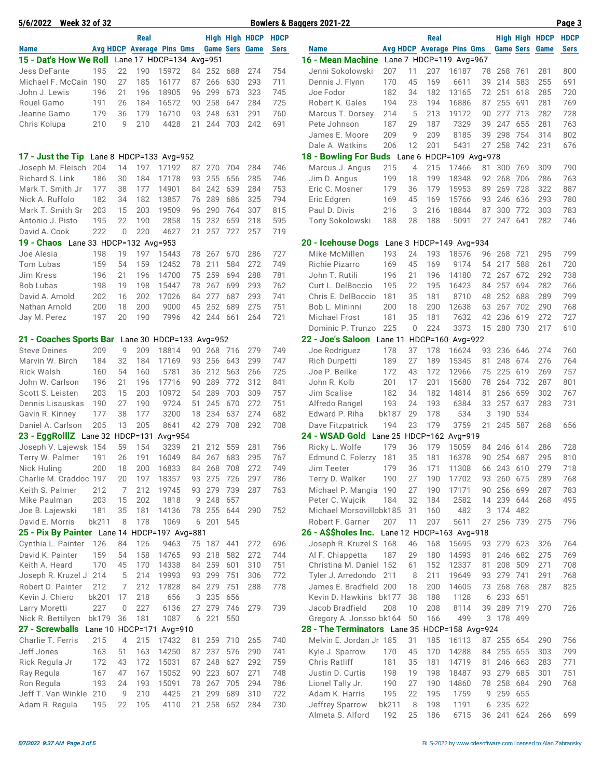| 5/6/2022 Week 32 of 32                       |                  |                |             |                           |          |               |            |                       |             | <b>Bowlers &amp; Baggers 2021-22</b>          |            |          |            |                           |          |                       |            |                | Page 3      |
|----------------------------------------------|------------------|----------------|-------------|---------------------------|----------|---------------|------------|-----------------------|-------------|-----------------------------------------------|------------|----------|------------|---------------------------|----------|-----------------------|------------|----------------|-------------|
|                                              |                  |                | <b>Real</b> |                           |          |               |            | <b>High High HDCP</b> | <b>HDCP</b> |                                               |            |          | Real       |                           |          |                       |            | High High HDCP | <b>HDCP</b> |
| <b>Name</b>                                  |                  |                |             | Avg HDCP Average Pins Gms |          |               |            | <b>Game Sers Game</b> | <b>Sers</b> | <b>Name</b>                                   |            |          |            | Avg HDCP Average Pins Gms |          | <b>Game Sers</b>      |            | Game           | <b>Sers</b> |
| 15 - Dat's How We Roll                       |                  |                |             | Lane 17 HDCP=134 Avg=951  |          |               |            |                       |             | 16 - Mean Machine                             |            |          |            | Lane 7 HDCP=119 Avg=967   |          |                       |            |                |             |
| Jess DeFante                                 | 195              | 22             | 190         | 15972                     | 84       | 252           | 688        | 274                   | 754         | Jenni Sokolowski                              | 207        | 11       | 207        | 16187                     | 78       | 268                   | - 761      | 281            | 800         |
| Michael F. McCain 190                        |                  | 27             | 185         | 16177                     | 87       | 266           | 630        | 293                   | 711         | Dennis J. Flynn                               | 170        | 45       | 169        | 6611                      | 39       | 214                   | 583        | 255            | 691         |
| John J. Lewis                                | 196              | 21             | 196         | 18905                     | 96       | 299           | 673        | 323                   | 745         | Joe Fodor                                     | 182        | 34       | 182        | 13165                     | 72       | 251                   | 618        | 285            | 720         |
| Rouel Gamo                                   | 191              | 26             | 184         | 16572                     | 90       | 258           | 647        | 284                   | 725         | Robert K. Gales                               | 194        | 23       | 194        | 16886                     | 87       | 255                   | 691        | 281            | 769         |
| Jeanne Gamo                                  | 179<br>210       | 36<br>9        | 179<br>210  | 16710<br>4428             | 93<br>21 | 248<br>244    | 631<br>703 | 291<br>242            | 760<br>691  | Marcus T. Dorsey                              | 214<br>187 | 5<br>29  | 213<br>187 | 19172<br>7329             | 90<br>39 | 277<br>247 655        | 713        | 282<br>281     | 728<br>763  |
| Chris Kolupa                                 |                  |                |             |                           |          |               |            |                       |             | Pete Johnson<br>James E. Moore                | 209        | 9        | 209        | 8185                      | 39       | 298                   | 754        | 314            | 802         |
|                                              |                  |                |             |                           |          |               |            |                       |             | Dale A. Watkins                               | 206        | 12       | 201        | 5431                      | 27       | 258 742               |            | 231            | 676         |
| 17 - Just the Tip                            |                  |                |             | Lane 8 HDCP=133 Avg=952   |          |               |            |                       |             | 18 - Bowling For Buds Lane 6 HDCP=109 Avg=978 |            |          |            |                           |          |                       |            |                |             |
| Joseph M. Fleisch                            | 204              | 14             | 197         | 17192                     | 87       | 270           | 704        | 284                   | 746         | Marcus J. Angus                               | 215        | 4        | 215        | 17466                     | 81       | 300 769               |            | 309            | 790         |
| Richard S. Link                              | 186              | 30             | 184         | 17178                     | 93       | 255           | 656        | 285                   | 746         | Jim D. Angus                                  | 199        | 18       | 199        | 18348                     |          | 92 268                | 706        | 286            | 763         |
| Mark T. Smith Jr                             | 177              | 38             | 177         | 14901                     | 84       | 242           | 639        | 284                   | 753         | Eric C. Mosner                                | 179        | 36       | 179        | 15953                     | 89       | 269                   | 728        | 322            | 887         |
| Nick A. Ruffolo                              | 182              | 34             | 182         | 13857                     | 76       | 289           | 686        | 325                   | 794         | Eric Edgren                                   | 169        | 45       | 169        | 15766                     | 93       | 246                   | 636        | 293            | 780         |
| Mark T. Smith Sr                             | 203              | 15             | 203         | 19509                     | 96       | 290           | 764        | 307                   | 815         | Paul D. Divis                                 | 216        | 3        | 216        | 18844                     | 87       | 300                   | 772        | 303            | 783         |
| Antonio J. Pisto                             | 195              | 22             | 190         | 2858                      | 15       | 232           | 659        | 218                   | 595         | Tony Sokolowski                               | 188        | 28       | 188        | 5091                      | 27       | 247                   | 641        | 282            | 746         |
| David A. Cook                                | 222              | $\mathbf 0$    | 220         | 4627                      | 21       | 257           | 727        | 257                   | 719         |                                               |            |          |            |                           |          |                       |            |                |             |
| 19 - Chaos Lane 33 HDCP=132 Avg=953          |                  |                |             |                           |          |               |            |                       |             | 20 - Icehouse Dogs                            |            |          |            | Lane 3 HDCP=149 Avg=934   |          |                       |            |                |             |
| Joe Alesia                                   | 198              | 19             | 197         | 15443                     | 78       | 267           | 670        | 286                   | 727         | Mike McMillen                                 | 193        | 24       | 193        | 18576                     | 96       | 268                   | 721        | 295            | 799         |
| Tom Lubas                                    | 159              | 54             | 159         | 12452                     | 78       | 211           | 584        | 272                   | 749         | Richie Pizarro                                | 169        | 45       | 169        | 9174                      | 54       | 217                   | 588        | 261            | 720         |
| Jim Kress                                    | 196              | 21             | 196         | 14700                     | 75       | 259           | 694        | 288                   | 781         | John T. Rutili                                | 196        | 21       | 196        | 14180                     | 72       | 267                   | 672        | 292            | 738         |
| <b>Bob Lubas</b>                             | 198              | 19             | 198         | 15447                     | 78       | 267           | 699        | 293                   | 762         | Curt L. DelBoccio                             | 195        | 22       | 195        | 16423                     | 84       | 257                   | 694        | 282            | 766         |
| David A. Arnold                              | 202              | 16             | 202         | 17026                     | 84       | 277           | 687        | 293                   | 741         | Chris E. DelBoccio                            | 181        | 35       | 181        | 8710                      | 48       | 252                   | 688        | 289            | 799         |
| Nathan Arnold                                | 200              | 18             | 200         | 9000                      | 45       | 252           | 689        | 275                   | 751         | Bob L. Mininni                                | 200        | 18       | 200        | 12638                     | 63       | 267                   | 702        | 290            | 768         |
| Jay M. Perez                                 | 197              | 20             | 190         | 7996                      | 42       | 244           | 661        | 264                   | 721         | Michael Frost                                 | 181        | 35       | 181        | 7632                      | 42       | 236                   | 619        | 272            | 727         |
|                                              |                  |                |             |                           |          |               |            |                       |             | Dominic P. Trunzo                             | 225        | 0        | 224        | 3373                      | 15       | 280 730               |            | 217            | 610         |
| 21 - Coaches Sports Bar                      |                  | 9              |             | Lane 30 HDCP=133 Avg=952  |          |               |            |                       |             | 22 - Joe's Saloon                             | Lane 11    |          |            | HDCP=160 Avg=922          |          |                       |            |                |             |
| <b>Steve Deines</b><br>Marvin W. Birch       | 209<br>184       | 32             | 209<br>184  | 18814<br>17169            | 90       | 268<br>93 256 | 716<br>643 | 279<br>299            | 749<br>747  | Joe Rodriguez<br>Rich Durpetti                | 178<br>189 | 37<br>27 | 178<br>189 | 16624<br>15345            | 93<br>81 | 236<br>248            | 646<br>674 | 274<br>276     | 760<br>764  |
| <b>Rick Walsh</b>                            | 160              | 54             | 160         | 5781                      | 36       | 212           | 563        | 266                   | 725         | Joe P. Beilke                                 | 172        | 43       | 172        | 12966                     | 75       | 225                   | 619        | 269            | 757         |
| John W. Carlson                              | 196              | 21             | 196         | 17716                     | 90       | 289           | 772        | 312                   | 841         | John R. Kolb                                  | 201        | 17       | 201        | 15680                     | 78       | 264                   | 732        | 287            | 801         |
| Scott S. Leisten                             | 203              | 15             | 203         | 10972                     | 54       | 289           | 703        | 309                   | 757         | Jim Scalise                                   | 182        | 34       | 182        | 14814                     | 81       | 266                   | 659        | 302            | 767         |
| Dennis Lisauskas                             | 190              | 27             | 190         | 9724                      | 51       | 245           | 670        | 272                   | 751         | Alfredo Rangel                                | 193        | 24       | 193        | 6384                      | 33       | 257                   | 637        | 283            | 731         |
| Gavin R. Kinney                              | 177              | 38             | 177         | 3200                      | 18       | 234           | 637        | 274                   | 682         | Edward P. Riha                                | bk187      | 29       | 178        | 534                       | 3        | 190                   | 534        |                |             |
| Daniel A. Carlson                            | 205              | 13             | 205         | 8641                      |          | 42 279        | 708        | 292                   | 708         | Dave Fitzpatrick                              | 194        | 23       | 179        | 3759                      |          | 21 245                | 587        | 268            | 656         |
| 23 - EggRollIZ Lane 32 HDCP=131              |                  |                |             | Avg=954                   |          |               |            |                       |             | 24 - WSAD Gold                                |            |          |            | Lane 25 HDCP=162 Avg=919  |          |                       |            |                |             |
| Joseph V. Lajewsk 154                        |                  | 59             | 154         | 3239                      | 21       | 212           | 559        | 281                   | 766         | Ricky L. Wolfe                                | 179        | 36       | 179        | 15059                     | 84       | 246 614               |            | 286            | 728         |
| Terry W. Palmer                              | 191              | 26             | 191         | 16049                     | 84       | 267           | 683        | 295                   | 767         | Edmund C. Folerzy                             | 181        | 35       | 181        | 16378                     | 90       | 254 687               |            | 295            | 810         |
| Nick Huling                                  | 200              | 18             | 200         | 16833                     | 84       | 268           | 708        | 272                   | 749         | Jim Teeter                                    | 179        | 36       | 171        | 11308                     | 66       | 243                   | 610        | 279            | 718         |
| Charlie M. Craddoc 197                       |                  | 20             | 197         | 18357                     |          | 93 275        | 726        | 297                   | 786         | Terry D. Walker                               | 190        | 27       | 190        | 17702                     |          | 93 260 675            |            | 289            | 768         |
| Keith S. Palmer                              | 212              | 7              | 212         | 19745                     |          | 93 279        | 739        | 287                   | 763         | Michael P. Mangia 190                         |            | 27       | 190        | 17171                     |          | 90 256 699            |            | 287            | 783         |
| Mike Paulman                                 | 203              | 15             | 202         | 1818                      | 9        | 248           | 657        |                       |             | Peter C. Wujcik                               | 184        | 32       | 184        | 2582                      | 14       | 239 644               |            | 268            | 495         |
| Joe B. Lajewski                              | 181              | 35             | 181         | 14136                     | 78       | 255           | 644        | 290                   | 752         | Michael Morsovillobk185                       |            | 31       | 160        | 482                       | 3        | 174 482               |            |                |             |
| David E. Morris                              | bk211            | 8              | 178         | 1069                      |          | 6 201         | 545        |                       |             | Robert F. Garner                              | 207        | 11       | 207        | 5611                      | 27       | 256 739               |            | 275            | 796         |
| 25 - Pix By Painter Lane 14 HDCP=197 Avg=881 |                  |                |             |                           |          |               |            |                       |             | 26 - A\$\$holes Inc. Lane 12 HDCP=163 Avg=918 |            |          |            |                           |          |                       |            |                |             |
| Cynthia L. Painter                           | 126              | 84             | 126         | 9463                      |          | 75 187 441    |            | 272                   | 696         | Joseph R. Kruzel S 168                        |            | 46       | 168        | 15695                     |          | 93 279 623            |            | 326            | 764         |
| David K. Painter<br>Keith A. Heard           | 159<br>170       | 54<br>45       | 158<br>170  | 14765<br>14338            | 93       | 218<br>84 259 | 582<br>601 | 272<br>310            | 744<br>751  | Al F. Chiappetta<br>Christina M. Daniel 152   | 187        | 29<br>61 | 180<br>152 | 14593<br>12337            | 81       | 81 246 682<br>208 509 |            | 275<br>271     | 769<br>708  |
| Joseph R. Kruzel J                           | 214              | 5              | 214         | 19993                     | 93       | 299           | 751        | 306                   | 772         | Tyler J. Arredondo                            | 211        | 8        | 211        | 19649                     |          | 93 279 741            |            | 291            | 768         |
| Robert D. Painter                            | 212              | 7              | 212         | 17828                     |          | 84 279        | 751        | 288                   | 778         | James E. Bradfield 200                        |            | 18       | 200        | 14605                     | 73       | 268                   | 768        | 287            | 825         |
| Kevin J. Chiero                              | bk201            | 17             | 218         | 656                       |          | 3 235         | 656        |                       |             | Kevin D. Hawkins bk177                        |            | 38       | 188        | 1128                      |          | 6 233 651             |            |                |             |
| Larry Moretti                                | 227              | $\mathbf 0$    | 227         | 6136                      | 27       | 279           | 746        | 279                   | 739         | Jacob Bradfield                               | 208        | 10       | 208        | 8114                      | 39       | 289                   | 719        | 270            | 726         |
| Nick R. Bettilyon                            | bk179            | 36             | 181         | 1087                      |          | 6 221         | 550        |                       |             | Gregory A. Jonsso bk164                       |            | 50       | 166        | 499                       |          | 3 178 499             |            |                |             |
| 27 - Screwballs                              | Lane 10 HDCP=171 |                |             | Avg=910                   |          |               |            |                       |             | 28 - The Terminators Lane 35 HDCP=158 Avg=924 |            |          |            |                           |          |                       |            |                |             |
| Charlie T. Ferris                            | 215              | $\overline{4}$ | 215         | 17432                     | 81       | 259           | 710        | 265                   | 740         | Melvin E. Jordan Jr 185                       |            | 31       | 185        | 16113                     | 87       | 255 654               |            | 290            | 756         |
| Jeff Jones                                   | 163              | 51             | 163         | 14250                     | 87       | 237           | 576        | 290                   | 741         | Kyle J. Sparrow                               | 170        | 45       | 170        | 14288                     | 84       | 255 655               |            | 303            | 799         |
| Rick Regula Jr                               | 172              | 43             | 172         | 15031                     |          | 87 248        | 627        | 292                   | 759         | Chris Ratliff                                 | 181        | 35       | 181        | 14719                     |          | 81 246 663            |            | 283            | 771         |
| Ray Regula                                   | 167              | 47             | 167         | 15052                     | 90       | 223           | 607        | 271                   | 748         | Justin D. Curtis                              | 198        | 19       | 198        | 18487                     |          | 93 279 685            |            | 301            | 751         |
| Ron Regula                                   | 193              | 24             | 193         | 15091                     | 78       | 267           | 705        | 294                   | 786         | Lionel Tally Jr.                              | 190        | 27       | 190        | 14860                     | 78       | 258 684               |            | 290            | 768         |
| Jeff T. Van Winkle                           | 210              | 9              | 210         | 4425                      | 21       | 299           | 689        | 310                   | 722         | Adam K. Harris                                | 195        | 22       | 195        | 1759                      | 9        | 259 655               |            |                |             |
| Adam R. Regula                               | 195              | 22             | 195         | 4110                      | 21       | 258           | 652        | 284                   | 730         | Jeffrey Sparrow                               | bk211      | 8        | 198        | 1191                      | 6        | 235 622               |            |                |             |
|                                              |                  |                |             |                           |          |               |            |                       |             | Almeta S. Alford                              | 192        | 25       | 186        | 6715                      |          | 36 241 624            |            | 266            | 699         |

Almeta S. Alford 192 25 186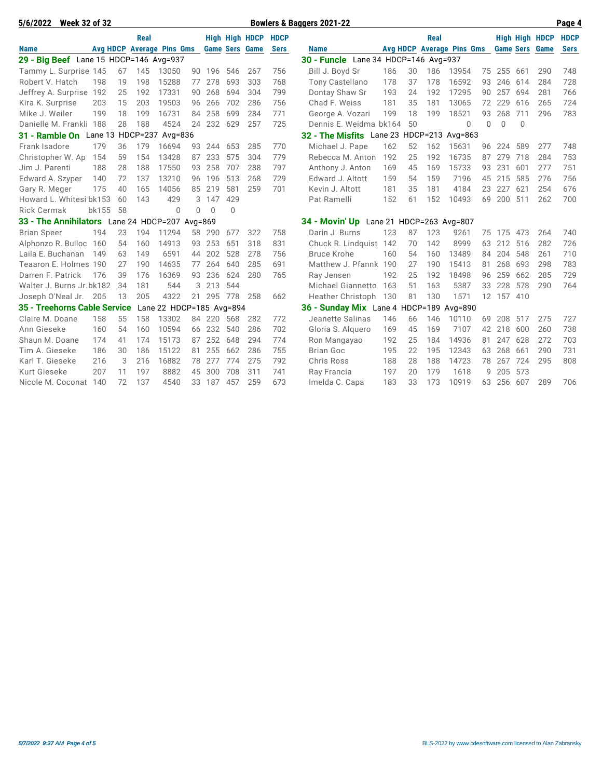| 5/6/2022<br><b>Week 32 of 32</b>               |                 |    |                  |                          |    |          |          |                       |             | Bowlers & Baggers 2021-22                 |     |    |      |                                  |    |         |          |                       | Page 4      |
|------------------------------------------------|-----------------|----|------------------|--------------------------|----|----------|----------|-----------------------|-------------|-------------------------------------------|-----|----|------|----------------------------------|----|---------|----------|-----------------------|-------------|
|                                                |                 |    | Real             |                          |    |          |          | <b>High High HDCP</b> | <b>HDCP</b> |                                           |     |    | Real |                                  |    |         |          | <b>High High HDCP</b> | <b>HDCP</b> |
| <b>Name</b>                                    | <b>Avg HDCP</b> |    |                  | <b>Average Pins Gms</b>  |    |          |          | <b>Game Sers Game</b> | <b>Sers</b> | <b>Name</b>                               |     |    |      | <b>Avg HDCP Average Pins Gms</b> |    |         |          | <b>Game Sers Game</b> | <b>Sers</b> |
| 29 - Big Beef Lane 15 HDCP=146 Avg=937         |                 |    |                  |                          |    |          |          |                       |             | 30 - Funcle Lane 34 HDCP=146 Avg=937      |     |    |      |                                  |    |         |          |                       |             |
| Tammy L. Surprise 145                          |                 | 67 | 145              | 13050                    |    | 90 196   | 546      | 267                   | 756         | Bill J. Boyd Sr                           | 186 | 30 | 186  | 13954                            | 75 | 255 661 |          | 290                   | 748         |
| Robert V. Hatch                                | 198             | 19 | 198              | 15288                    | 77 | 278      | 693      | 303                   | 768         | <b>Tony Castellano</b>                    | 178 | 37 | 178  | 16592                            | 93 | 246     | 614      | 284                   | 728         |
| Jeffrey A. Surprise                            | 192             | 25 | 192              | 17331                    | 90 | 268      | 694      | 304                   | 799         | Dontay Shaw Sr                            | 193 | 24 | 192  | 17295                            | 90 | 257     | 694      | 281                   | 766         |
| Kira K. Surprise                               | 203             | 15 | 203              | 19503                    | 96 | 266      | 702      | 286                   | 756         | Chad F. Weiss                             | 181 | 35 | 181  | 13065                            | 72 | 229     | 616      | 265                   | 724         |
| Mike J. Weiler                                 | 199             | 18 | 199              | 16731                    | 84 | 258      | 699      | 284                   | 771         | George A. Vozari                          | 199 | 18 | 199  | 18521                            | 93 | 268     | 711      | 296                   | 783         |
| Danielle M. Frankli 188                        |                 | 28 | 188              | 4524                     | 24 | 232      | 629      | 257                   | 725         | Dennis E. Weidma bk164                    |     | 50 |      | $\Omega$                         | 0  | 0       | $\Omega$ |                       |             |
| 31 - Ramble On                                 |                 |    | Lane 13 HDCP=237 | Avg=836                  |    |          |          |                       |             | 32 - The Misfits Lane 23 HDCP=213 Avg=863 |     |    |      |                                  |    |         |          |                       |             |
| Frank Isadore                                  | 179             | 36 | 179              | 16694                    | 93 | 244      | 653      | 285                   | 770         | Michael J. Pape                           | 162 | 52 | 162  | 15631                            | 96 | 224     | 589      | 277                   | 748         |
| Christopher W. Ap                              | 154             | 59 | 154              | 13428                    | 87 | 233      | 575      | 304                   | 779         | Rebecca M. Anton                          | 192 | 25 | 192  | 16735                            | 87 | 279     | 718      | 284                   | 753         |
| Jim J. Parenti                                 | 188             | 28 | 188              | 17550                    | 93 | 258      | 707      | 288                   | 797         | Anthony J. Anton                          | 169 | 45 | 169  | 15733                            | 93 | 231     | 601      | 277                   | 751         |
| Edward A. Szyper                               | 140             | 72 | 137              | 13210                    | 96 | 196      | 513      | 268                   | 729         | Edward J. Altott                          | 159 | 54 | 159  | 7196                             | 45 | 215     | 585      | 276                   | 756         |
| Gary R. Meger                                  | 175             | 40 | 165              | 14056                    | 85 | 219      | 581      | 259                   | 701         | Kevin J. Altott                           | 181 | 35 | 181  | 4184                             | 23 | 227     | 621      | 254                   | 676         |
| Howard L. Whitesi bk153                        |                 | 60 | 143              | 429                      | 3  | 147      | 429      |                       |             | Pat Ramelli                               | 152 | 61 | 152  | 10493                            | 69 | 200     | 511      | 262                   | 700         |
| <b>Rick Cermak</b>                             | bk155           | 58 |                  | $\Omega$                 | 0  | $\Omega$ | $\Omega$ |                       |             |                                           |     |    |      |                                  |    |         |          |                       |             |
| 33 - The Annihilators Lane 24 HDCP=207 Avg=869 |                 |    |                  |                          |    |          |          |                       |             | 34 - Movin' Up Lane 21 HDCP=263 Avg=807   |     |    |      |                                  |    |         |          |                       |             |
| <b>Brian Speer</b>                             | 194             | 23 | 194              | 11294                    | 58 | 290      | 677      | 322                   | 758         | Darin J. Burns                            | 123 | 87 | 123  | 9261                             | 75 | 175     | 473      | 264                   | 740         |
| Alphonzo R. Bulloc                             | 160             | 54 | 160              | 14913                    | 93 | 253      | 651      | 318                   | 831         | Chuck R. Lindquist                        | 142 | 70 | 142  | 8999                             | 63 | 212     | 516      | 282                   | 726         |
| Laila E. Buchanan                              | 149             | 63 | 149              | 6591                     | 44 | 202      | 528      | 278                   | 756         | <b>Bruce Krohe</b>                        | 160 | 54 | 160  | 13489                            | 84 | 204     | 548      | 261                   | 710         |
| Teaaron E. Holmes 190                          |                 | 27 | 190              | 14635                    | 77 | 264      | 640      | 285                   | 691         | Matthew J. Pfannk                         | 190 | 27 | 190  | 15413                            | 81 | 268     | 693      | 298                   | 783         |
| Darren F. Patrick                              | 176             | 39 | 176              | 16369                    | 93 | 236      | 624      | 280                   | 765         | Ray Jensen                                | 192 | 25 | 192  | 18498                            | 96 | 259     | 662      | 285                   | 729         |
| Walter J. Burns Jr.bk182                       |                 | 34 | 181              | 544                      | 3  | 213      | 544      |                       |             | <b>Michael Giannetto</b>                  | 163 | 51 | 163  | 5387                             | 33 | 228     | 578      | 290                   | 764         |
| Joseph O'Neal Jr.                              | 205             | 13 | 205              | 4322                     | 21 | 295      | 778      | 258                   | 662         | Heather Christoph                         | 130 | 81 | 130  | 1571                             |    | 12 157  | 410      |                       |             |
| 35 - Treehorns Cable Service                   |                 |    |                  | Lane 22 HDCP=185 Avg=894 |    |          |          |                       |             | 36 - Sunday Mix Lane 4 HDCP=189           |     |    |      | Avg=890                          |    |         |          |                       |             |
| Claire M. Doane                                | 158             | 55 | 158              | 13302                    | 84 | 220      | 568      | 282                   | 772         | Jeanette Salinas                          | 146 | 66 | 146  | 10110                            | 69 | 208     | 517      | 275                   | 727         |
| Ann Gieseke                                    | 160             | 54 | 160              | 10594                    | 66 | 232      | 540      | 286                   | 702         | Gloria S. Alquero                         | 169 | 45 | 169  | 7107                             | 42 | 218     | 600      | 260                   | 738         |
| Shaun M. Doane                                 | 174             | 41 | 174              | 15173                    | 87 | 252      | 648      | 294                   | 774         | Ron Mangayao                              | 192 | 25 | 184  | 14936                            | 81 | 247     | 628      | 272                   | 703         |
| Tim A. Gieseke                                 | 186             | 30 | 186              | 15122                    | 81 | 255      | 662      | 286                   | 755         | <b>Brian Goc</b>                          | 195 | 22 | 195  | 12343                            | 63 | 268     | 661      | 290                   | 731         |
| Karl T. Gieseke                                | 216             | 3  | 216              | 16882                    | 78 | 277      | 774      | 275                   | 792         | <b>Chris Ross</b>                         | 188 | 28 | 188  | 14723                            | 78 | 267     | 724      | 295                   | 808         |
| Kurt Gieseke                                   | 207             | 11 | 197              | 8882                     | 45 | 300      | 708      | 311                   | 741         | Ray Francia                               | 197 | 20 | 179  | 1618                             | 9  | 205     | 573      |                       |             |
| Nicole M. Coconat                              | 140             | 72 | 137              | 4540                     | 33 | 187      | 457      | 259                   | 673         | Imelda C. Capa                            | 183 | 33 | 173  | 10919                            | 63 | 256     | 607      | 289                   | 706         |